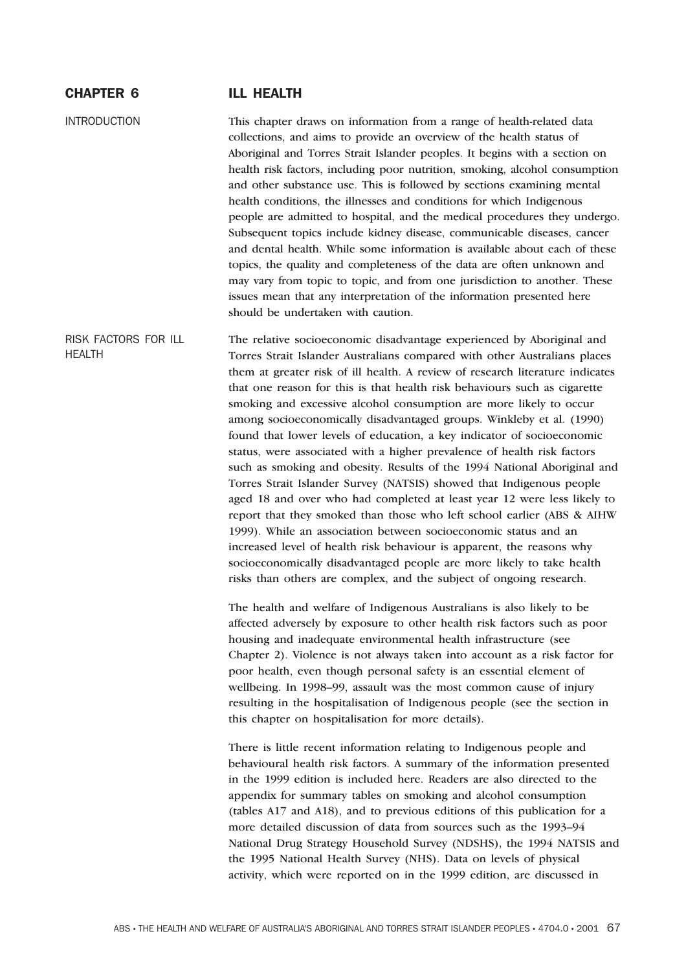# CHAPTER 6 ILL HEALTH

INTRODUCTION This chapter draws on information from a range of health-related data collections, and aims to provide an overview of the health status of Aboriginal and Torres Strait Islander peoples. It begins with a section on health risk factors, including poor nutrition, smoking, alcohol consumption and other substance use. This is followed by sections examining mental health conditions, the illnesses and conditions for which Indigenous people are admitted to hospital, and the medical procedures they undergo. Subsequent topics include kidney disease, communicable diseases, cancer and dental health. While some information is available about each of these topics, the quality and completeness of the data are often unknown and may vary from topic to topic, and from one jurisdiction to another. These issues mean that any interpretation of the information presented here should be undertaken with caution.

RISK FACTORS FOR ILL **HFALTH** The relative socioeconomic disadvantage experienced by Aboriginal and Torres Strait Islander Australians compared with other Australians places them at greater risk of ill health. A review of research literature indicates that one reason for this is that health risk behaviours such as cigarette smoking and excessive alcohol consumption are more likely to occur among socioeconomically disadvantaged groups. Winkleby et al. (1990) found that lower levels of education, a key indicator of socioeconomic status, were associated with a higher prevalence of health risk factors such as smoking and obesity. Results of the 1994 National Aboriginal and Torres Strait Islander Survey (NATSIS) showed that Indigenous people aged 18 and over who had completed at least year 12 were less likely to report that they smoked than those who left school earlier (ABS & AIHW 1999). While an association between socioeconomic status and an increased level of health risk behaviour is apparent, the reasons why socioeconomically disadvantaged people are more likely to take health risks than others are complex, and the subject of ongoing research.

> The health and welfare of Indigenous Australians is also likely to be affected adversely by exposure to other health risk factors such as poor housing and inadequate environmental health infrastructure (see Chapter 2). Violence is not always taken into account as a risk factor for poor health, even though personal safety is an essential element of wellbeing. In 1998–99, assault was the most common cause of injury resulting in the hospitalisation of Indigenous people (see the section in this chapter on hospitalisation for more details).

There is little recent information relating to Indigenous people and behavioural health risk factors. A summary of the information presented in the 1999 edition is included here. Readers are also directed to the appendix for summary tables on smoking and alcohol consumption (tables A17 and A18), and to previous editions of this publication for a more detailed discussion of data from sources such as the 1993–94 National Drug Strategy Household Survey (NDSHS), the 1994 NATSIS and the 1995 National Health Survey (NHS). Data on levels of physical activity, which were reported on in the 1999 edition, are discussed in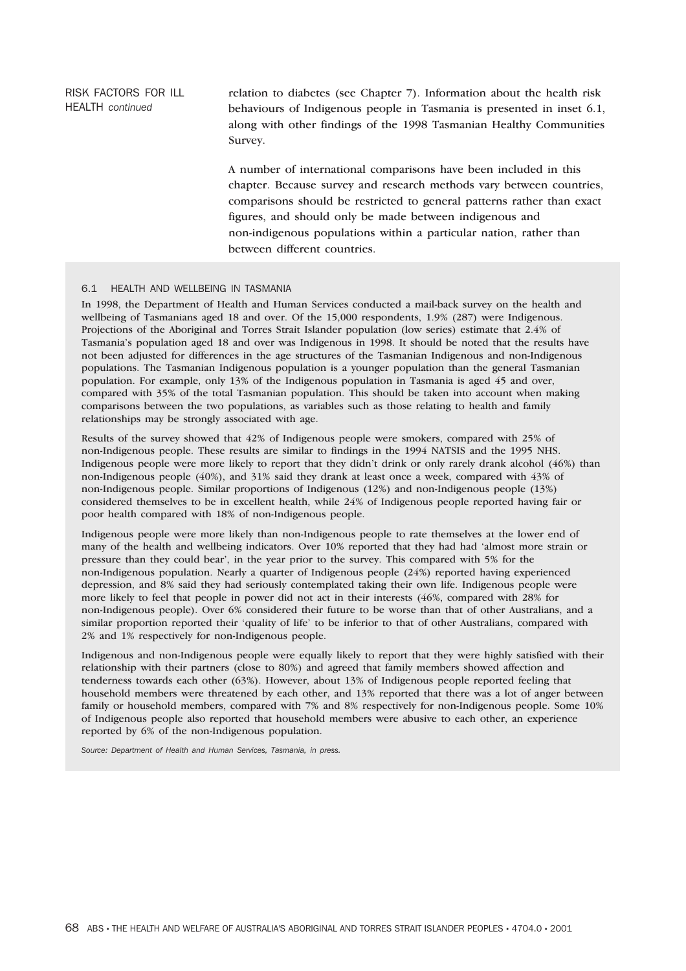RISK FACTORS FOR ILL HEALTH *continued*

relation to diabetes (see Chapter 7). Information about the health risk behaviours of Indigenous people in Tasmania is presented in inset 6.1, along with other findings of the 1998 Tasmanian Healthy Communities Survey.

A number of international comparisons have been included in this chapter. Because survey and research methods vary between countries, comparisons should be restricted to general patterns rather than exact figures, and should only be made between indigenous and non-indigenous populations within a particular nation, rather than between different countries.

### 6.1 HEALTH AND WELLBEING IN TASMANIA

In 1998, the Department of Health and Human Services conducted a mail-back survey on the health and wellbeing of Tasmanians aged 18 and over. Of the 15,000 respondents, 1.9% (287) were Indigenous. Projections of the Aboriginal and Torres Strait Islander population (low series) estimate that 2.4% of Tasmania's population aged 18 and over was Indigenous in 1998. It should be noted that the results have not been adjusted for differences in the age structures of the Tasmanian Indigenous and non-Indigenous populations. The Tasmanian Indigenous population is a younger population than the general Tasmanian population. For example, only 13% of the Indigenous population in Tasmania is aged 45 and over, compared with 35% of the total Tasmanian population. This should be taken into account when making comparisons between the two populations, as variables such as those relating to health and family relationships may be strongly associated with age.

Results of the survey showed that 42% of Indigenous people were smokers, compared with 25% of non-Indigenous people. These results are similar to findings in the 1994 NATSIS and the 1995 NHS. Indigenous people were more likely to report that they didn't drink or only rarely drank alcohol (46%) than non-Indigenous people (40%), and 31% said they drank at least once a week, compared with 43% of non-Indigenous people. Similar proportions of Indigenous (12%) and non-Indigenous people (13%) considered themselves to be in excellent health, while 24% of Indigenous people reported having fair or poor health compared with 18% of non-Indigenous people.

Indigenous people were more likely than non-Indigenous people to rate themselves at the lower end of many of the health and wellbeing indicators. Over 10% reported that they had had 'almost more strain or pressure than they could bear', in the year prior to the survey. This compared with 5% for the non-Indigenous population. Nearly a quarter of Indigenous people (24%) reported having experienced depression, and 8% said they had seriously contemplated taking their own life. Indigenous people were more likely to feel that people in power did not act in their interests (46%, compared with 28% for non-Indigenous people). Over 6% considered their future to be worse than that of other Australians, and a similar proportion reported their 'quality of life' to be inferior to that of other Australians, compared with 2% and 1% respectively for non-Indigenous people.

Indigenous and non-Indigenous people were equally likely to report that they were highly satisfied with their relationship with their partners (close to 80%) and agreed that family members showed affection and tenderness towards each other (63%). However, about 13% of Indigenous people reported feeling that household members were threatened by each other, and 13% reported that there was a lot of anger between family or household members, compared with 7% and 8% respectively for non-Indigenous people. Some 10% of Indigenous people also reported that household members were abusive to each other, an experience reported by 6% of the non-Indigenous population.

*Source: Department of Health and Human Services, Tasmania, in press.*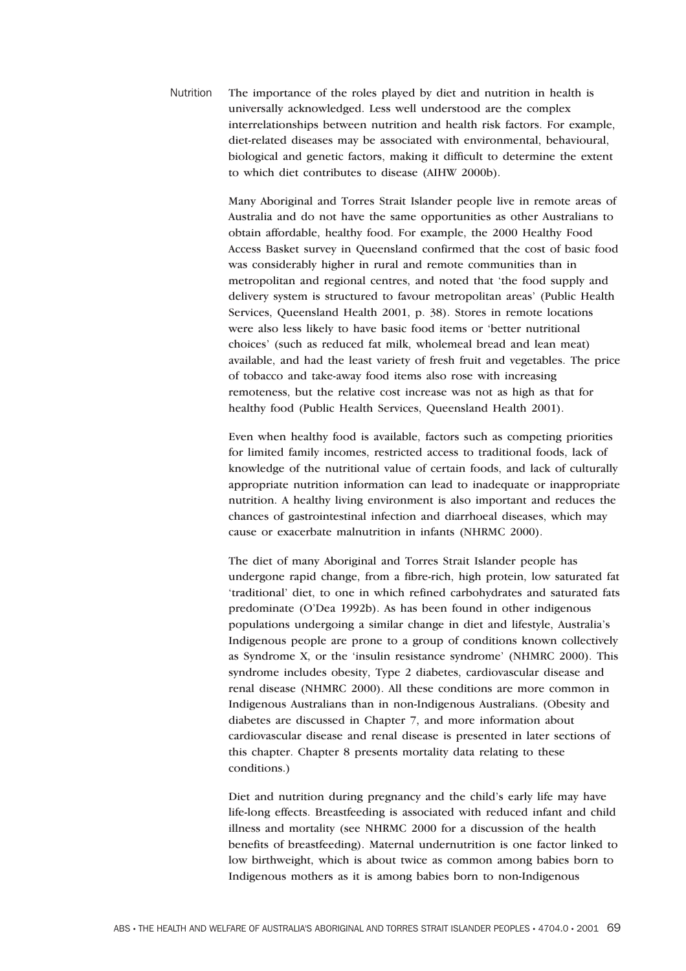Nutrition The importance of the roles played by diet and nutrition in health is universally acknowledged. Less well understood are the complex interrelationships between nutrition and health risk factors. For example, diet-related diseases may be associated with environmental, behavioural, biological and genetic factors, making it difficult to determine the extent to which diet contributes to disease (AIHW 2000b).

> Many Aboriginal and Torres Strait Islander people live in remote areas of Australia and do not have the same opportunities as other Australians to obtain affordable, healthy food. For example, the 2000 Healthy Food Access Basket survey in Queensland confirmed that the cost of basic food was considerably higher in rural and remote communities than in metropolitan and regional centres, and noted that 'the food supply and delivery system is structured to favour metropolitan areas' (Public Health Services, Queensland Health 2001, p. 38). Stores in remote locations were also less likely to have basic food items or 'better nutritional choices' (such as reduced fat milk, wholemeal bread and lean meat) available, and had the least variety of fresh fruit and vegetables. The price of tobacco and take-away food items also rose with increasing remoteness, but the relative cost increase was not as high as that for healthy food (Public Health Services, Queensland Health 2001).

> Even when healthy food is available, factors such as competing priorities for limited family incomes, restricted access to traditional foods, lack of knowledge of the nutritional value of certain foods, and lack of culturally appropriate nutrition information can lead to inadequate or inappropriate nutrition. A healthy living environment is also important and reduces the chances of gastrointestinal infection and diarrhoeal diseases, which may cause or exacerbate malnutrition in infants (NHRMC 2000).

> The diet of many Aboriginal and Torres Strait Islander people has undergone rapid change, from a fibre-rich, high protein, low saturated fat 'traditional' diet, to one in which refined carbohydrates and saturated fats predominate (O'Dea 1992b). As has been found in other indigenous populations undergoing a similar change in diet and lifestyle, Australia's Indigenous people are prone to a group of conditions known collectively as Syndrome X, or the 'insulin resistance syndrome' (NHMRC 2000). This syndrome includes obesity, Type 2 diabetes, cardiovascular disease and renal disease (NHMRC 2000). All these conditions are more common in Indigenous Australians than in non-Indigenous Australians. (Obesity and diabetes are discussed in Chapter 7, and more information about cardiovascular disease and renal disease is presented in later sections of this chapter. Chapter 8 presents mortality data relating to these conditions.)

> Diet and nutrition during pregnancy and the child's early life may have life-long effects. Breastfeeding is associated with reduced infant and child illness and mortality (see NHRMC 2000 for a discussion of the health benefits of breastfeeding). Maternal undernutrition is one factor linked to low birthweight, which is about twice as common among babies born to Indigenous mothers as it is among babies born to non-Indigenous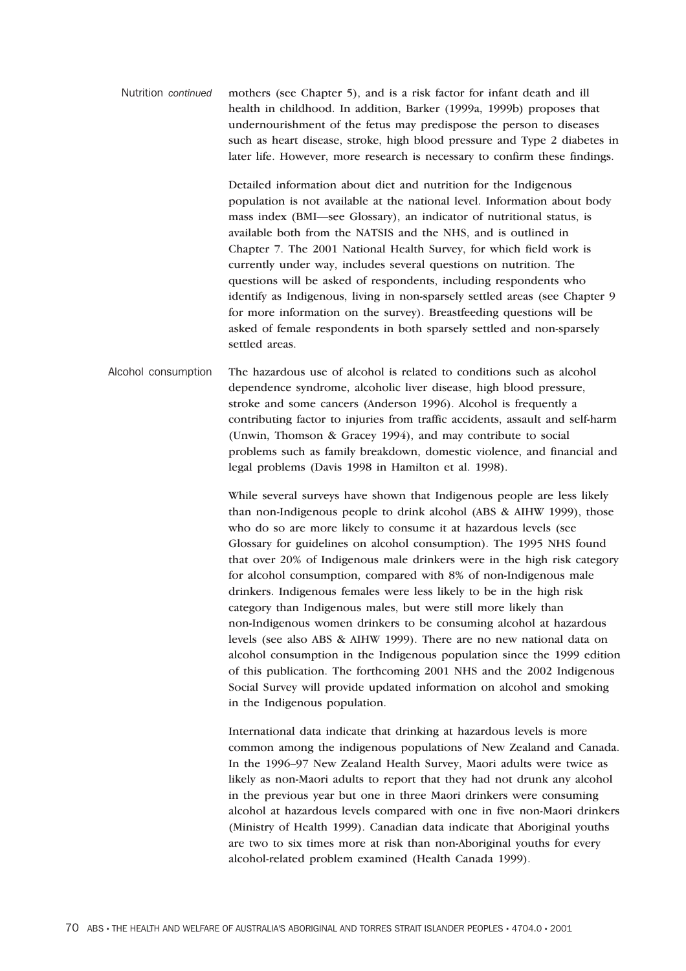Nutrition *continued* mothers (see Chapter 5), and is a risk factor for infant death and ill health in childhood. In addition, Barker (1999a, 1999b) proposes that undernourishment of the fetus may predispose the person to diseases such as heart disease, stroke, high blood pressure and Type 2 diabetes in later life. However, more research is necessary to confirm these findings.

> Detailed information about diet and nutrition for the Indigenous population is not available at the national level. Information about body mass index (BMI—see Glossary), an indicator of nutritional status, is available both from the NATSIS and the NHS, and is outlined in Chapter 7. The 2001 National Health Survey, for which field work is currently under way, includes several questions on nutrition. The questions will be asked of respondents, including respondents who identify as Indigenous, living in non-sparsely settled areas (see Chapter 9 for more information on the survey). Breastfeeding questions will be asked of female respondents in both sparsely settled and non-sparsely settled areas.

Alcohol consumption The hazardous use of alcohol is related to conditions such as alcohol dependence syndrome, alcoholic liver disease, high blood pressure, stroke and some cancers (Anderson 1996). Alcohol is frequently a contributing factor to injuries from traffic accidents, assault and self-harm (Unwin, Thomson & Gracey 1994), and may contribute to social problems such as family breakdown, domestic violence, and financial and legal problems (Davis 1998 in Hamilton et al. 1998).

> While several surveys have shown that Indigenous people are less likely than non-Indigenous people to drink alcohol (ABS & AIHW 1999), those who do so are more likely to consume it at hazardous levels (see Glossary for guidelines on alcohol consumption). The 1995 NHS found that over 20% of Indigenous male drinkers were in the high risk category for alcohol consumption, compared with 8% of non-Indigenous male drinkers. Indigenous females were less likely to be in the high risk category than Indigenous males, but were still more likely than non-Indigenous women drinkers to be consuming alcohol at hazardous levels (see also ABS & AIHW 1999). There are no new national data on alcohol consumption in the Indigenous population since the 1999 edition of this publication. The forthcoming 2001 NHS and the 2002 Indigenous Social Survey will provide updated information on alcohol and smoking in the Indigenous population.

> International data indicate that drinking at hazardous levels is more common among the indigenous populations of New Zealand and Canada. In the 1996–97 New Zealand Health Survey, Maori adults were twice as likely as non-Maori adults to report that they had not drunk any alcohol in the previous year but one in three Maori drinkers were consuming alcohol at hazardous levels compared with one in five non-Maori drinkers (Ministry of Health 1999). Canadian data indicate that Aboriginal youths are two to six times more at risk than non-Aboriginal youths for every alcohol-related problem examined (Health Canada 1999).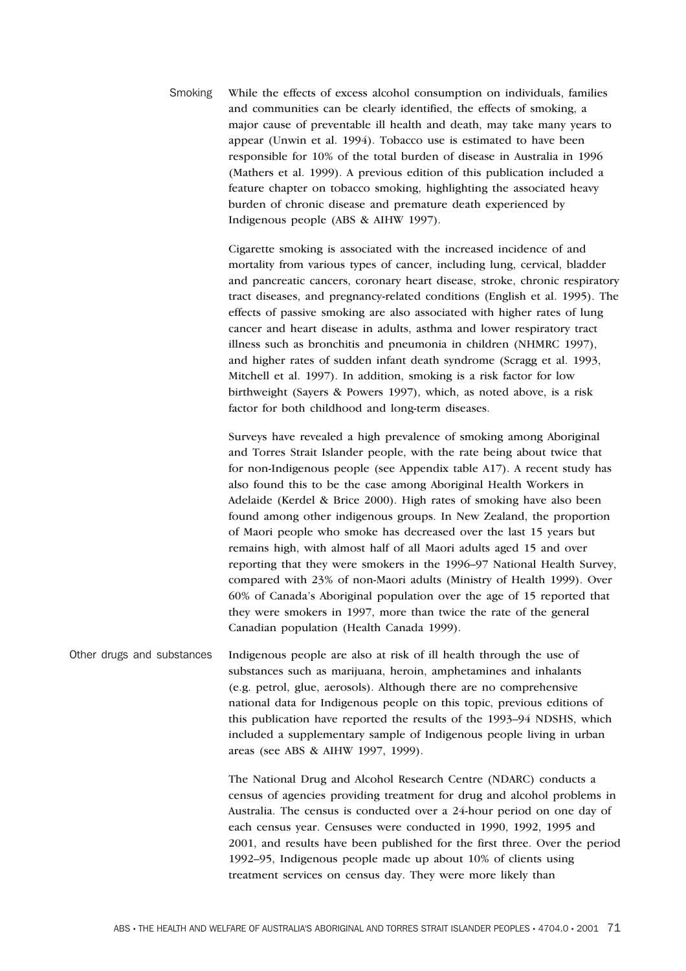Smoking While the effects of excess alcohol consumption on individuals, families and communities can be clearly identified, the effects of smoking, a major cause of preventable ill health and death, may take many years to appear (Unwin et al. 1994). Tobacco use is estimated to have been responsible for 10% of the total burden of disease in Australia in 1996 (Mathers et al. 1999). A previous edition of this publication included a feature chapter on tobacco smoking, highlighting the associated heavy burden of chronic disease and premature death experienced by Indigenous people (ABS & AIHW 1997).

> Cigarette smoking is associated with the increased incidence of and mortality from various types of cancer, including lung, cervical, bladder and pancreatic cancers, coronary heart disease, stroke, chronic respiratory tract diseases, and pregnancy-related conditions (English et al. 1995). The effects of passive smoking are also associated with higher rates of lung cancer and heart disease in adults, asthma and lower respiratory tract illness such as bronchitis and pneumonia in children (NHMRC 1997), and higher rates of sudden infant death syndrome (Scragg et al. 1993, Mitchell et al. 1997). In addition, smoking is a risk factor for low birthweight (Sayers & Powers 1997), which, as noted above, is a risk factor for both childhood and long-term diseases.

> Surveys have revealed a high prevalence of smoking among Aboriginal and Torres Strait Islander people, with the rate being about twice that for non-Indigenous people (see Appendix table A17). A recent study has also found this to be the case among Aboriginal Health Workers in Adelaide (Kerdel & Brice 2000). High rates of smoking have also been found among other indigenous groups. In New Zealand, the proportion of Maori people who smoke has decreased over the last 15 years but remains high, with almost half of all Maori adults aged 15 and over reporting that they were smokers in the 1996–97 National Health Survey, compared with 23% of non-Maori adults (Ministry of Health 1999). Over 60% of Canada's Aboriginal population over the age of 15 reported that they were smokers in 1997, more than twice the rate of the general Canadian population (Health Canada 1999).

Other drugs and substances Indigenous people are also at risk of ill health through the use of substances such as marijuana, heroin, amphetamines and inhalants (e.g. petrol, glue, aerosols). Although there are no comprehensive national data for Indigenous people on this topic, previous editions of this publication have reported the results of the 1993–94 NDSHS, which included a supplementary sample of Indigenous people living in urban areas (see ABS & AIHW 1997, 1999).

> The National Drug and Alcohol Research Centre (NDARC) conducts a census of agencies providing treatment for drug and alcohol problems in Australia. The census is conducted over a 24-hour period on one day of each census year. Censuses were conducted in 1990, 1992, 1995 and 2001, and results have been published for the first three. Over the period 1992–95, Indigenous people made up about 10% of clients using treatment services on census day. They were more likely than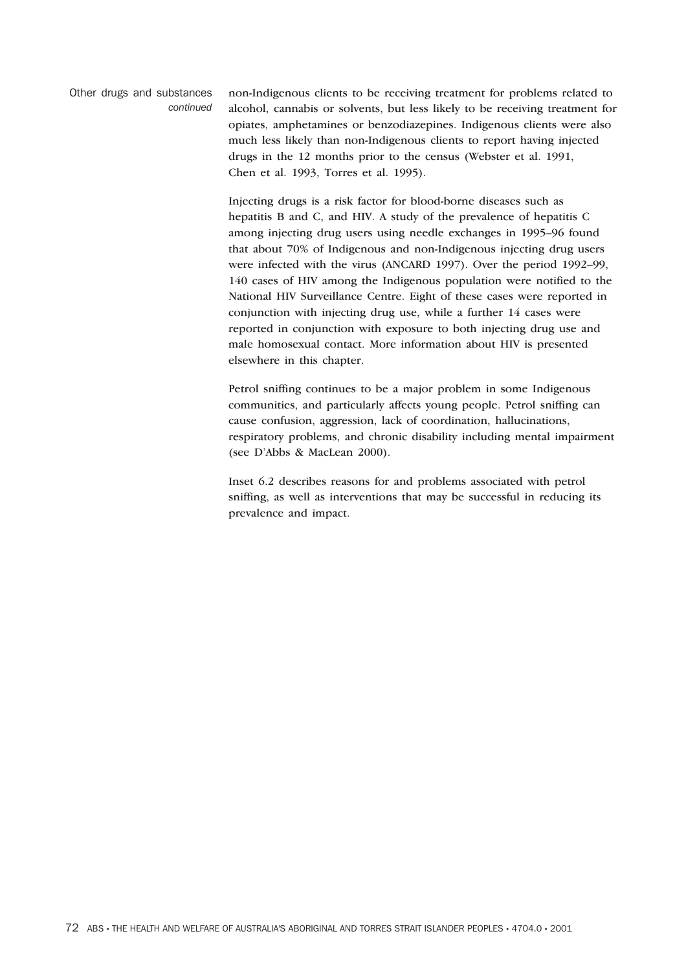Other drugs and substances *continued* non-Indigenous clients to be receiving treatment for problems related to alcohol, cannabis or solvents, but less likely to be receiving treatment for opiates, amphetamines or benzodiazepines. Indigenous clients were also much less likely than non-Indigenous clients to report having injected drugs in the 12 months prior to the census (Webster et al. 1991, Chen et al. 1993, Torres et al. 1995).

> Injecting drugs is a risk factor for blood-borne diseases such as hepatitis B and C, and HIV. A study of the prevalence of hepatitis C among injecting drug users using needle exchanges in 1995–96 found that about 70% of Indigenous and non-Indigenous injecting drug users were infected with the virus (ANCARD 1997). Over the period 1992–99, 140 cases of HIV among the Indigenous population were notified to the National HIV Surveillance Centre. Eight of these cases were reported in conjunction with injecting drug use, while a further 14 cases were reported in conjunction with exposure to both injecting drug use and male homosexual contact. More information about HIV is presented elsewhere in this chapter.

> Petrol sniffing continues to be a major problem in some Indigenous communities, and particularly affects young people. Petrol sniffing can cause confusion, aggression, lack of coordination, hallucinations, respiratory problems, and chronic disability including mental impairment (see D'Abbs & MacLean 2000).

Inset 6.2 describes reasons for and problems associated with petrol sniffing, as well as interventions that may be successful in reducing its prevalence and impact.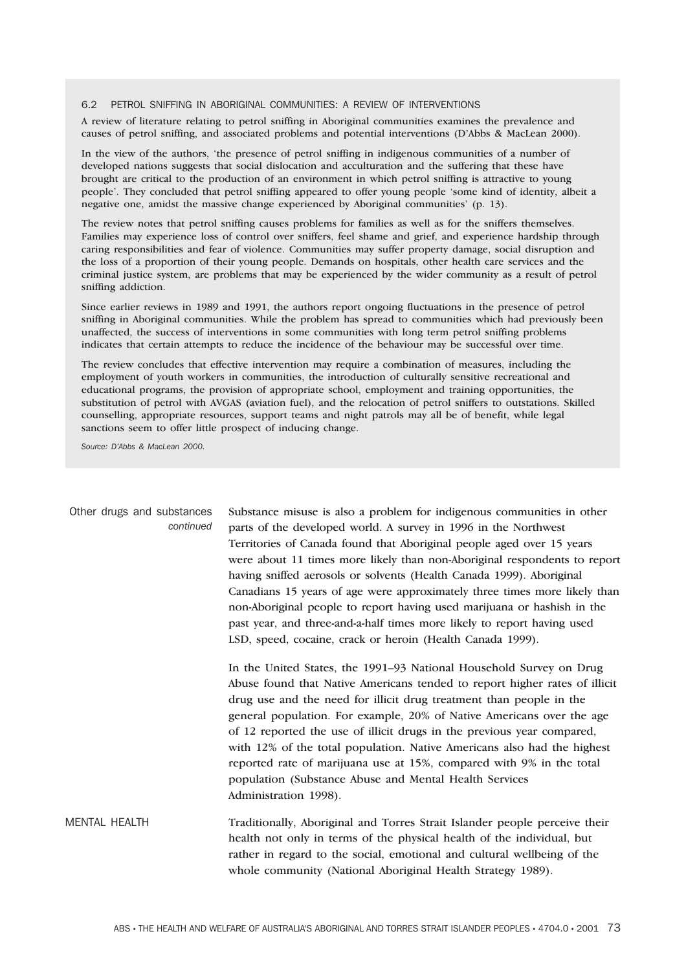#### 6.2 PETROL SNIFFING IN ABORIGINAL COMMUNITIES: A REVIEW OF INTERVENTIONS

A review of literature relating to petrol sniffing in Aboriginal communities examines the prevalence and causes of petrol sniffing, and associated problems and potential interventions (D'Abbs & MacLean 2000).

In the view of the authors, 'the presence of petrol sniffing in indigenous communities of a number of developed nations suggests that social dislocation and acculturation and the suffering that these have brought are critical to the production of an environment in which petrol sniffing is attractive to young people'. They concluded that petrol sniffing appeared to offer young people 'some kind of identity, albeit a negative one, amidst the massive change experienced by Aboriginal communities' (p. 13).

The review notes that petrol sniffing causes problems for families as well as for the sniffers themselves. Families may experience loss of control over sniffers, feel shame and grief, and experience hardship through caring responsibilities and fear of violence. Communities may suffer property damage, social disruption and the loss of a proportion of their young people. Demands on hospitals, other health care services and the criminal justice system, are problems that may be experienced by the wider community as a result of petrol sniffing addiction.

Since earlier reviews in 1989 and 1991, the authors report ongoing fluctuations in the presence of petrol sniffing in Aboriginal communities. While the problem has spread to communities which had previously been unaffected, the success of interventions in some communities with long term petrol sniffing problems indicates that certain attempts to reduce the incidence of the behaviour may be successful over time.

The review concludes that effective intervention may require a combination of measures, including the employment of youth workers in communities, the introduction of culturally sensitive recreational and educational programs, the provision of appropriate school, employment and training opportunities, the substitution of petrol with AVGAS (aviation fuel), and the relocation of petrol sniffers to outstations. Skilled counselling, appropriate resources, support teams and night patrols may all be of benefit, while legal sanctions seem to offer little prospect of inducing change.

*Source: D'Abbs & MacLean 2000.*

| Other drugs and substances<br>continued | Substance misuse is also a problem for indigenous communities in other<br>parts of the developed world. A survey in 1996 in the Northwest<br>Territories of Canada found that Aboriginal people aged over 15 years<br>were about 11 times more likely than non-Aboriginal respondents to report<br>having sniffed aerosols or solvents (Health Canada 1999). Aboriginal<br>Canadians 15 years of age were approximately three times more likely than<br>non-Aboriginal people to report having used marijuana or hashish in the<br>past year, and three-and-a-half times more likely to report having used<br>LSD, speed, cocaine, crack or heroin (Health Canada 1999). |
|-----------------------------------------|--------------------------------------------------------------------------------------------------------------------------------------------------------------------------------------------------------------------------------------------------------------------------------------------------------------------------------------------------------------------------------------------------------------------------------------------------------------------------------------------------------------------------------------------------------------------------------------------------------------------------------------------------------------------------|
|                                         | In the United States, the 1991–93 National Household Survey on Drug<br>Abuse found that Native Americans tended to report higher rates of illicit<br>drug use and the need for illicit drug treatment than people in the<br>general population. For example, 20% of Native Americans over the age<br>of 12 reported the use of illicit drugs in the previous year compared,<br>with 12% of the total population. Native Americans also had the highest<br>reported rate of marijuana use at 15%, compared with 9% in the total<br>population (Substance Abuse and Mental Health Services<br>Administration 1998).                                                        |
| <b>MENTAL HEALTH</b>                    | Traditionally, Aboriginal and Torres Strait Islander people perceive their<br>health not only in terms of the physical health of the individual, but<br>rather in regard to the social, emotional and cultural wellbeing of the<br>whole community (National Aboriginal Health Strategy 1989).                                                                                                                                                                                                                                                                                                                                                                           |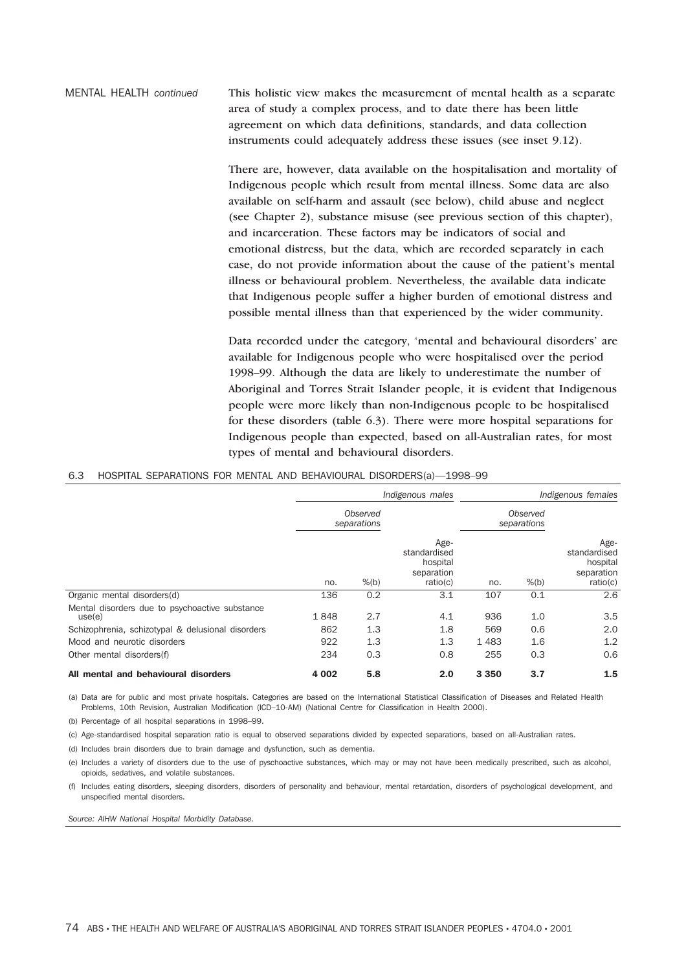MENTAL HEALTH *continued* This holistic view makes the measurement of mental health as a separate area of study a complex process, and to date there has been little agreement on which data definitions, standards, and data collection instruments could adequately address these issues (see inset 9.12).

> There are, however, data available on the hospitalisation and mortality of Indigenous people which result from mental illness. Some data are also available on self-harm and assault (see below), child abuse and neglect (see Chapter 2), substance misuse (see previous section of this chapter), and incarceration. These factors may be indicators of social and emotional distress, but the data, which are recorded separately in each case, do not provide information about the cause of the patient's mental illness or behavioural problem. Nevertheless, the available data indicate that Indigenous people suffer a higher burden of emotional distress and possible mental illness than that experienced by the wider community.

> Data recorded under the category, 'mental and behavioural disorders' are available for Indigenous people who were hospitalised over the period 1998–99. Although the data are likely to underestimate the number of Aboriginal and Torres Strait Islander people, it is evident that Indigenous people were more likely than non-Indigenous people to be hospitalised for these disorders (table 6.3). There were more hospital separations for Indigenous people than expected, based on all-Australian rates, for most types of mental and behavioural disorders.

#### 6.3 HOSPITAL SEPARATIONS FOR MENTAL AND BEHAVIOURAL DISORDERS(a)—1998–99

|                                                          | Indigenous males |                         |                                                            | Indigenous females |                         |                                                            |
|----------------------------------------------------------|------------------|-------------------------|------------------------------------------------------------|--------------------|-------------------------|------------------------------------------------------------|
|                                                          |                  | Observed<br>separations |                                                            |                    | Observed<br>separations |                                                            |
|                                                          | no.              | $%$ (b)                 | Age-<br>standardised<br>hospital<br>separation<br>ratio(c) | no.                | $%$ (b)                 | Age-<br>standardised<br>hospital<br>separation<br>ratio(c) |
| Organic mental disorders(d)                              | 136              | 0.2                     | 3.1                                                        | 107                | 0.1                     | 2.6                                                        |
| Mental disorders due to psychoactive substance<br>use(e) | 1848             | 2.7                     | 4.1                                                        | 936                | 1.0                     | 3.5                                                        |
| Schizophrenia, schizotypal & delusional disorders        | 862              | 1.3                     | 1.8                                                        | 569                | 0.6                     | 2.0                                                        |
| Mood and neurotic disorders                              | 922              | 1.3                     | 1.3                                                        | 1 4 8 3            | 1.6                     | 1.2                                                        |
| Other mental disorders(f)                                | 234              | 0.3                     | 0.8                                                        | 255                | 0.3                     | 0.6                                                        |
| All mental and behavioural disorders                     | 4 0 0 2          | 5.8                     | 2.0                                                        | 3 3 5 0            | 3.7                     | 1.5                                                        |

(a) Data are for public and most private hospitals. Categories are based on the International Statistical Classification of Diseases and Related Health Problems, 10th Revision, Australian Modification (ICD–10-AM) (National Centre for Classification in Health 2000).

(b) Percentage of all hospital separations in 1998–99.

(c) Age-standardised hospital separation ratio is equal to observed separations divided by expected separations, based on all-Australian rates.

(d) Includes brain disorders due to brain damage and dysfunction, such as dementia.

(e) Includes a variety of disorders due to the use of pyschoactive substances, which may or may not have been medically prescribed, such as alcohol, opioids, sedatives, and volatile substances.

(f) Includes eating disorders, sleeping disorders, disorders of personality and behaviour, mental retardation, disorders of psychological development, and unspecified mental disorders.

*Source: AIHW National Hospital Morbidity Database.*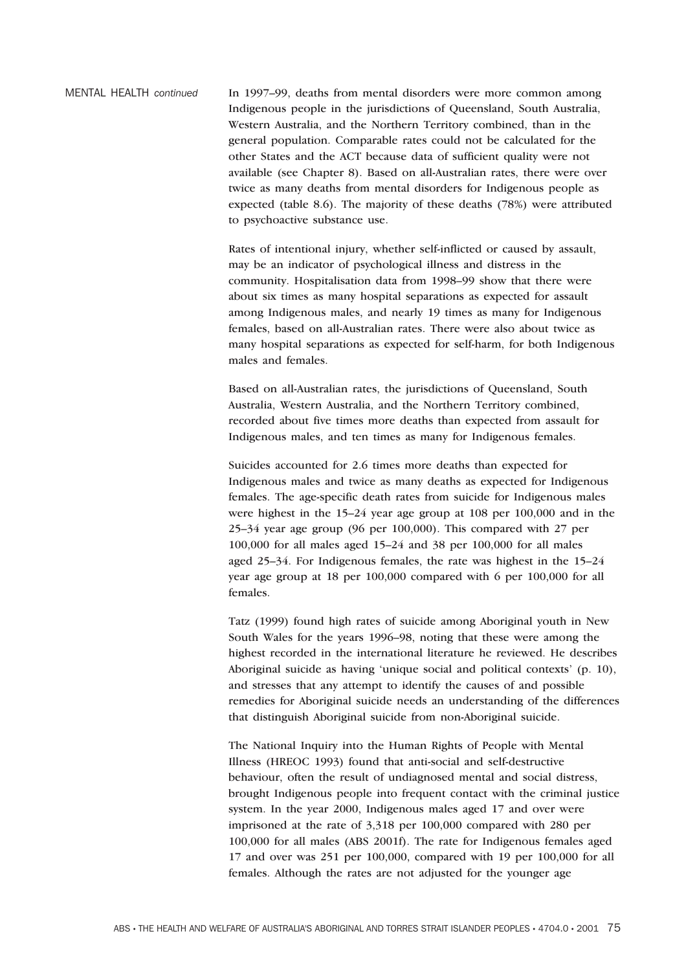MENTAL HEALTH *continued* In 1997–99, deaths from mental disorders were more common among Indigenous people in the jurisdictions of Queensland, South Australia, Western Australia, and the Northern Territory combined, than in the general population. Comparable rates could not be calculated for the other States and the ACT because data of sufficient quality were not available (see Chapter 8). Based on all-Australian rates, there were over twice as many deaths from mental disorders for Indigenous people as expected (table 8.6). The majority of these deaths (78%) were attributed to psychoactive substance use.

> Rates of intentional injury, whether self-inflicted or caused by assault, may be an indicator of psychological illness and distress in the community. Hospitalisation data from 1998–99 show that there were about six times as many hospital separations as expected for assault among Indigenous males, and nearly 19 times as many for Indigenous females, based on all-Australian rates. There were also about twice as many hospital separations as expected for self-harm, for both Indigenous males and females.

Based on all-Australian rates, the jurisdictions of Queensland, South Australia, Western Australia, and the Northern Territory combined, recorded about five times more deaths than expected from assault for Indigenous males, and ten times as many for Indigenous females.

Suicides accounted for 2.6 times more deaths than expected for Indigenous males and twice as many deaths as expected for Indigenous females. The age-specific death rates from suicide for Indigenous males were highest in the 15–24 year age group at 108 per 100,000 and in the 25–34 year age group (96 per 100,000). This compared with 27 per 100,000 for all males aged 15–24 and 38 per 100,000 for all males aged 25–34. For Indigenous females, the rate was highest in the 15–24 year age group at 18 per 100,000 compared with 6 per 100,000 for all females.

Tatz (1999) found high rates of suicide among Aboriginal youth in New South Wales for the years 1996–98, noting that these were among the highest recorded in the international literature he reviewed. He describes Aboriginal suicide as having 'unique social and political contexts' (p. 10), and stresses that any attempt to identify the causes of and possible remedies for Aboriginal suicide needs an understanding of the differences that distinguish Aboriginal suicide from non-Aboriginal suicide.

The National Inquiry into the Human Rights of People with Mental Illness (HREOC 1993) found that anti-social and self-destructive behaviour, often the result of undiagnosed mental and social distress, brought Indigenous people into frequent contact with the criminal justice system. In the year 2000, Indigenous males aged 17 and over were imprisoned at the rate of 3,318 per 100,000 compared with 280 per 100,000 for all males (ABS 2001f). The rate for Indigenous females aged 17 and over was 251 per 100,000, compared with 19 per 100,000 for all females. Although the rates are not adjusted for the younger age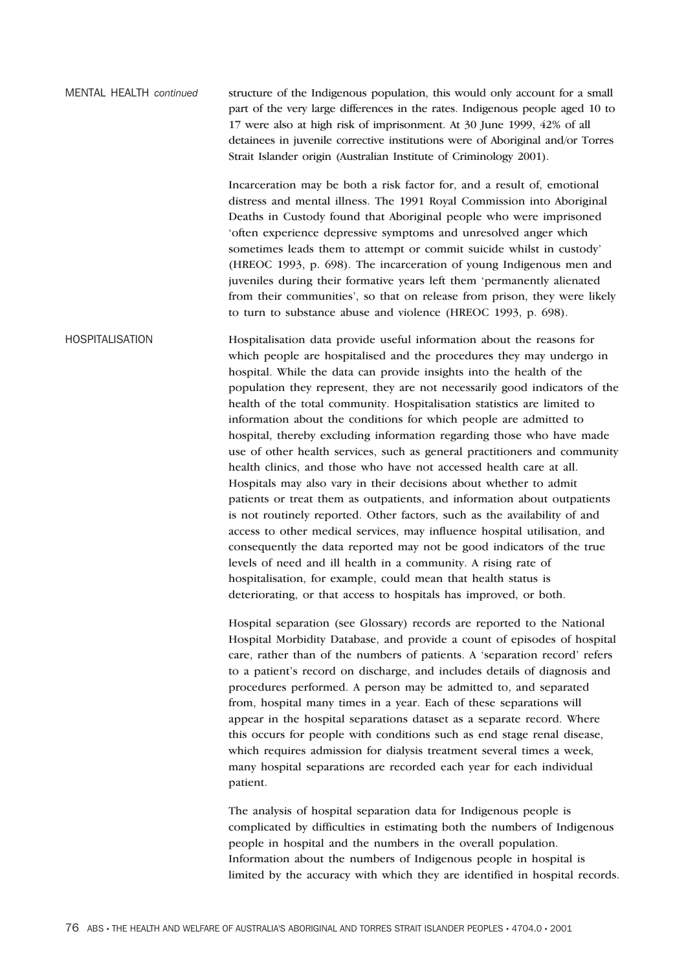MENTAL HEALTH *continued* structure of the Indigenous population, this would only account for a small part of the very large differences in the rates. Indigenous people aged 10 to 17 were also at high risk of imprisonment. At 30 June 1999, 42% of all detainees in juvenile corrective institutions were of Aboriginal and/or Torres Strait Islander origin (Australian Institute of Criminology 2001).

> Incarceration may be both a risk factor for, and a result of, emotional distress and mental illness. The 1991 Royal Commission into Aboriginal Deaths in Custody found that Aboriginal people who were imprisoned 'often experience depressive symptoms and unresolved anger which sometimes leads them to attempt or commit suicide whilst in custody' (HREOC 1993, p. 698). The incarceration of young Indigenous men and juveniles during their formative years left them 'permanently alienated from their communities', so that on release from prison, they were likely to turn to substance abuse and violence (HREOC 1993, p. 698).

HOSPITALISATION Hospitalisation data provide useful information about the reasons for which people are hospitalised and the procedures they may undergo in hospital. While the data can provide insights into the health of the population they represent, they are not necessarily good indicators of the health of the total community. Hospitalisation statistics are limited to information about the conditions for which people are admitted to hospital, thereby excluding information regarding those who have made use of other health services, such as general practitioners and community health clinics, and those who have not accessed health care at all. Hospitals may also vary in their decisions about whether to admit patients or treat them as outpatients, and information about outpatients is not routinely reported. Other factors, such as the availability of and access to other medical services, may influence hospital utilisation, and consequently the data reported may not be good indicators of the true levels of need and ill health in a community. A rising rate of hospitalisation, for example, could mean that health status is deteriorating, or that access to hospitals has improved, or both.

> Hospital separation (see Glossary) records are reported to the National Hospital Morbidity Database, and provide a count of episodes of hospital care, rather than of the numbers of patients. A 'separation record' refers to a patient's record on discharge, and includes details of diagnosis and procedures performed. A person may be admitted to, and separated from, hospital many times in a year. Each of these separations will appear in the hospital separations dataset as a separate record. Where this occurs for people with conditions such as end stage renal disease, which requires admission for dialysis treatment several times a week, many hospital separations are recorded each year for each individual patient.

> The analysis of hospital separation data for Indigenous people is complicated by difficulties in estimating both the numbers of Indigenous people in hospital and the numbers in the overall population. Information about the numbers of Indigenous people in hospital is limited by the accuracy with which they are identified in hospital records.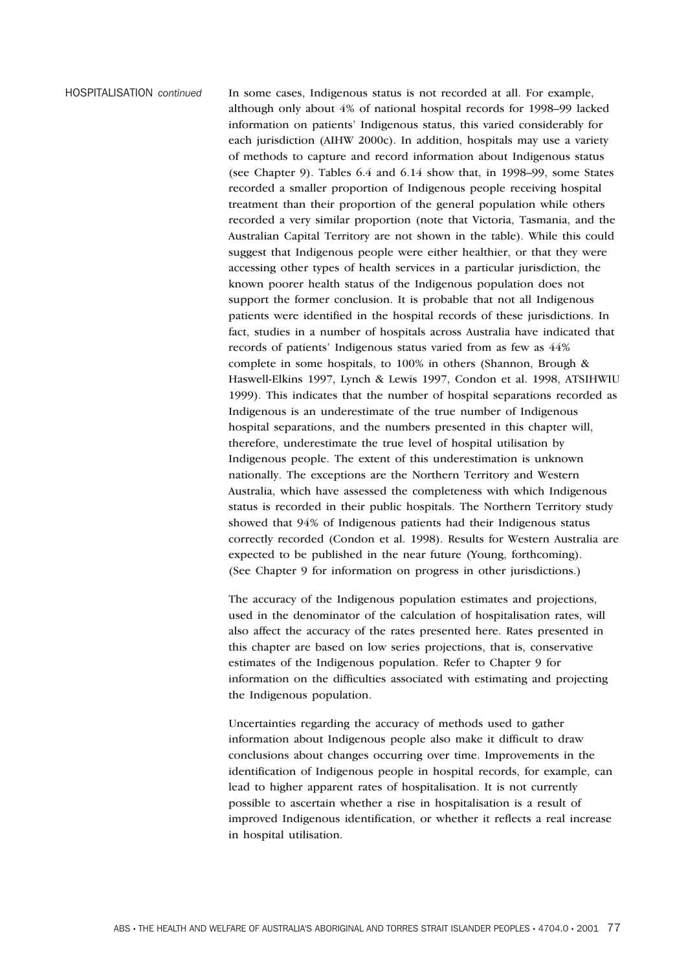HOSPITALISATION *continued* In some cases, Indigenous status is not recorded at all. For example, although only about 4% of national hospital records for 1998–99 lacked information on patients' Indigenous status, this varied considerably for each jurisdiction (AIHW 2000c). In addition, hospitals may use a variety of methods to capture and record information about Indigenous status (see Chapter 9). Tables 6.4 and 6.14 show that, in 1998–99, some States recorded a smaller proportion of Indigenous people receiving hospital treatment than their proportion of the general population while others recorded a very similar proportion (note that Victoria, Tasmania, and the Australian Capital Territory are not shown in the table). While this could suggest that Indigenous people were either healthier, or that they were accessing other types of health services in a particular jurisdiction, the known poorer health status of the Indigenous population does not support the former conclusion. It is probable that not all Indigenous patients were identified in the hospital records of these jurisdictions. In fact, studies in a number of hospitals across Australia have indicated that records of patients' Indigenous status varied from as few as 44% complete in some hospitals, to 100% in others (Shannon, Brough & Haswell-Elkins 1997, Lynch & Lewis 1997, Condon et al. 1998, ATSIHWIU 1999). This indicates that the number of hospital separations recorded as Indigenous is an underestimate of the true number of Indigenous hospital separations, and the numbers presented in this chapter will, therefore, underestimate the true level of hospital utilisation by Indigenous people. The extent of this underestimation is unknown nationally. The exceptions are the Northern Territory and Western Australia, which have assessed the completeness with which Indigenous status is recorded in their public hospitals. The Northern Territory study showed that 94% of Indigenous patients had their Indigenous status correctly recorded (Condon et al. 1998). Results for Western Australia are expected to be published in the near future (Young, forthcoming). (See Chapter 9 for information on progress in other jurisdictions.)

> The accuracy of the Indigenous population estimates and projections, used in the denominator of the calculation of hospitalisation rates, will also affect the accuracy of the rates presented here. Rates presented in this chapter are based on low series projections, that is, conservative estimates of the Indigenous population. Refer to Chapter 9 for information on the difficulties associated with estimating and projecting the Indigenous population.

Uncertainties regarding the accuracy of methods used to gather information about Indigenous people also make it difficult to draw conclusions about changes occurring over time. Improvements in the identification of Indigenous people in hospital records, for example, can lead to higher apparent rates of hospitalisation. It is not currently possible to ascertain whether a rise in hospitalisation is a result of improved Indigenous identification, or whether it reflects a real increase in hospital utilisation.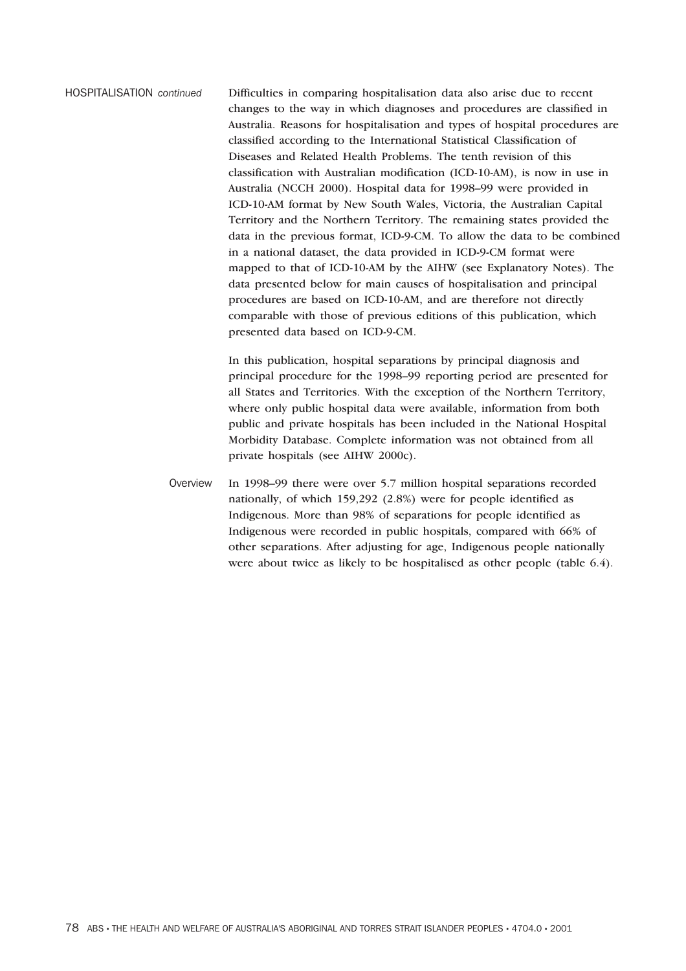HOSPITALISATION *continued* Difficulties in comparing hospitalisation data also arise due to recent changes to the way in which diagnoses and procedures are classified in Australia. Reasons for hospitalisation and types of hospital procedures are classified according to the International Statistical Classification of Diseases and Related Health Problems. The tenth revision of this classification with Australian modification (ICD-10-AM), is now in use in Australia (NCCH 2000). Hospital data for 1998–99 were provided in ICD-10-AM format by New South Wales, Victoria, the Australian Capital Territory and the Northern Territory. The remaining states provided the data in the previous format, ICD-9-CM. To allow the data to be combined in a national dataset, the data provided in ICD-9-CM format were mapped to that of ICD-10-AM by the AIHW (see Explanatory Notes). The data presented below for main causes of hospitalisation and principal procedures are based on ICD-10-AM, and are therefore not directly comparable with those of previous editions of this publication, which presented data based on ICD-9-CM.

> In this publication, hospital separations by principal diagnosis and principal procedure for the 1998–99 reporting period are presented for all States and Territories. With the exception of the Northern Territory, where only public hospital data were available, information from both public and private hospitals has been included in the National Hospital Morbidity Database. Complete information was not obtained from all private hospitals (see AIHW 2000c).

Overview In 1998–99 there were over 5.7 million hospital separations recorded nationally, of which 159,292 (2.8%) were for people identified as Indigenous. More than 98% of separations for people identified as Indigenous were recorded in public hospitals, compared with 66% of other separations. After adjusting for age, Indigenous people nationally were about twice as likely to be hospitalised as other people (table 6.4).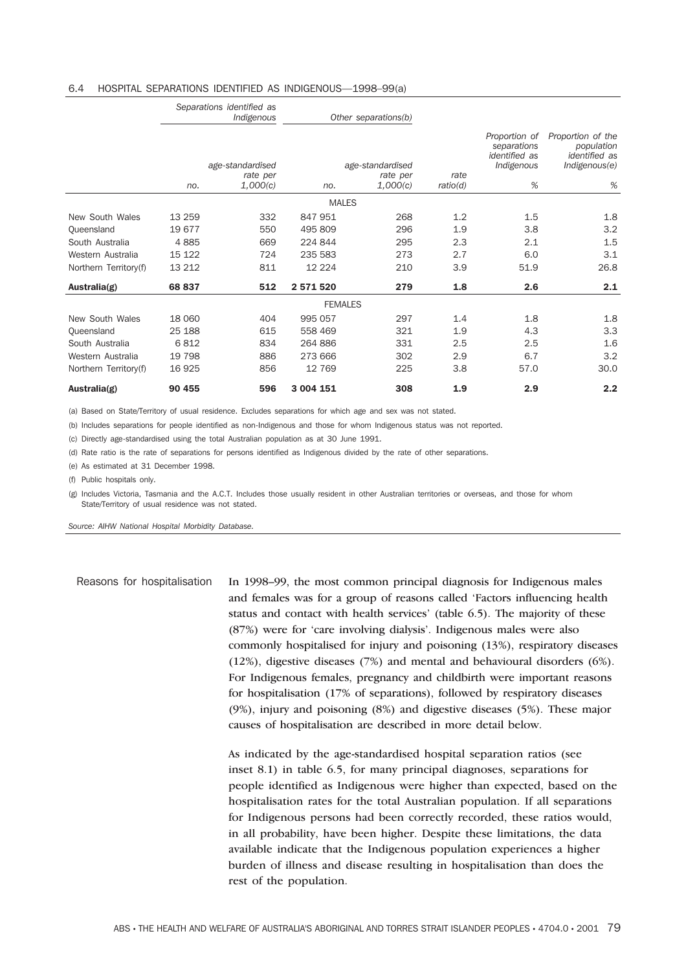#### 6.4 HOSPITAL SEPARATIONS IDENTIFIED AS INDIGENOUS—1998–99(a)

|                       |        | Separations identified as<br>Indigenous  |                | Other separations(b)                     |                  |                                                                         |                                                                               |
|-----------------------|--------|------------------------------------------|----------------|------------------------------------------|------------------|-------------------------------------------------------------------------|-------------------------------------------------------------------------------|
|                       | no.    | age-standardised<br>rate per<br>1,000(c) | no.            | age-standardised<br>rate per<br>1,000(c) | rate<br>ratio(d) | Proportion of<br>separations<br><i>identified</i> as<br>Indigenous<br>% | Proportion of the<br>population<br><i>identified</i> as<br>Indigenous(e)<br>% |
|                       |        |                                          | <b>MALES</b>   |                                          |                  |                                                                         |                                                                               |
| New South Wales       | 13 259 | 332                                      | 847 951        | 268                                      | 1.2              | 1.5                                                                     | 1.8                                                                           |
| Queensland            | 19677  | 550                                      | 495 809        | 296                                      | 1.9              | 3.8                                                                     | 3.2                                                                           |
| South Australia       | 4885   | 669                                      | 224 844        | 295                                      | 2.3              | 2.1                                                                     | 1.5                                                                           |
| Western Australia     | 15 122 | 724                                      | 235 583        | 273                                      | 2.7              | 6.0                                                                     | 3.1                                                                           |
| Northern Territory(f) | 13 212 | 811                                      | 12 2 2 4       | 210                                      | 3.9              | 51.9                                                                    | 26.8                                                                          |
| Australia(g)          | 68 837 | 512                                      | 2 571 520      | 279                                      | 1.8              | 2.6                                                                     | 2.1                                                                           |
|                       |        |                                          | <b>FEMALES</b> |                                          |                  |                                                                         |                                                                               |
| New South Wales       | 18 060 | 404                                      | 995 057        | 297                                      | 1.4              | 1.8                                                                     | 1.8                                                                           |
| Queensland            | 25 188 | 615                                      | 558 469        | 321                                      | 1.9              | 4.3                                                                     | 3.3                                                                           |
| South Australia       | 6812   | 834                                      | 264 886        | 331                                      | 2.5              | 2.5                                                                     | 1.6                                                                           |
| Western Australia     | 19 798 | 886                                      | 273 666        | 302                                      | 2.9              | 6.7                                                                     | 3.2                                                                           |
| Northern Territory(f) | 16 925 | 856                                      | 12 769         | 225                                      | 3.8              | 57.0                                                                    | 30.0                                                                          |
| Australia(g)          | 90 455 | 596                                      | 3 004 151      | 308                                      | 1.9              | 2.9                                                                     | 2.2                                                                           |

(a) Based on State/Territory of usual residence. Excludes separations for which age and sex was not stated.

(b) Includes separations for people identified as non-Indigenous and those for whom Indigenous status was not reported.

(c) Directly age-standardised using the total Australian population as at 30 June 1991.

(d) Rate ratio is the rate of separations for persons identified as Indigenous divided by the rate of other separations.

(e) As estimated at 31 December 1998.

(f) Public hospitals only.

(g) Includes Victoria, Tasmania and the A.C.T. Includes those usually resident in other Australian territories or overseas, and those for whom State/Territory of usual residence was not stated.

*Source: AIHW National Hospital Morbidity Database.*

Reasons for hospitalisation In 1998–99, the most common principal diagnosis for Indigenous males and females was for a group of reasons called 'Factors influencing health status and contact with health services' (table 6.5). The majority of these (87%) were for 'care involving dialysis'. Indigenous males were also commonly hospitalised for injury and poisoning (13%), respiratory diseases (12%), digestive diseases (7%) and mental and behavioural disorders (6%). For Indigenous females, pregnancy and childbirth were important reasons for hospitalisation (17% of separations), followed by respiratory diseases (9%), injury and poisoning (8%) and digestive diseases (5%). These major causes of hospitalisation are described in more detail below.

> As indicated by the age-standardised hospital separation ratios (see inset 8.1) in table 6.5, for many principal diagnoses, separations for people identified as Indigenous were higher than expected, based on the hospitalisation rates for the total Australian population. If all separations for Indigenous persons had been correctly recorded, these ratios would, in all probability, have been higher. Despite these limitations, the data available indicate that the Indigenous population experiences a higher burden of illness and disease resulting in hospitalisation than does the rest of the population.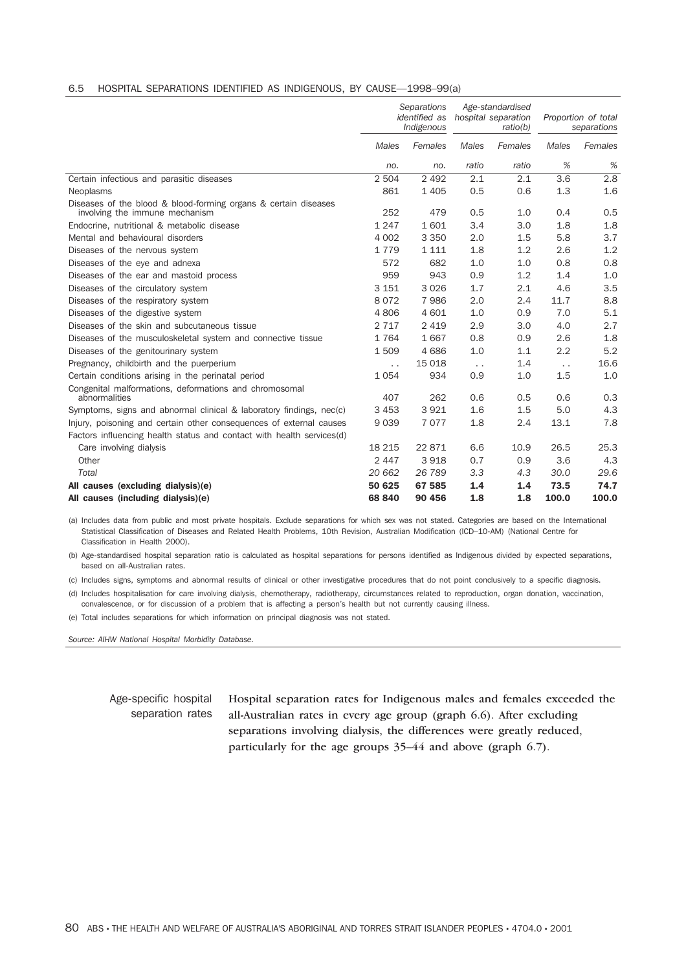#### 6.5 HOSPITAL SEPARATIONS IDENTIFIED AS INDIGENOUS, BY CAUSE—1998–99(a)

|                                                                                                   | <b>Separations</b><br>identified as<br>Indigenous |         | Age-standardised<br>hospital separation<br>ratio(b) |         | Proportion of total<br>separations |         |
|---------------------------------------------------------------------------------------------------|---------------------------------------------------|---------|-----------------------------------------------------|---------|------------------------------------|---------|
|                                                                                                   | Males                                             | Females | <b>Males</b>                                        | Females | Males                              | Females |
|                                                                                                   | no.                                               | no.     | ratio                                               | ratio   | %                                  | %       |
| Certain infectious and parasitic diseases                                                         | 2 5 0 4                                           | 2 4 9 2 | 2.1                                                 | 2.1     | 3.6                                | 2.8     |
| Neoplasms                                                                                         | 861                                               | 1 4 0 5 | 0.5                                                 | 0.6     | 1.3                                | 1.6     |
| Diseases of the blood & blood-forming organs & certain diseases<br>involving the immune mechanism | 252                                               | 479     | 0.5                                                 | 1.0     | 0.4                                | 0.5     |
| Endocrine, nutritional & metabolic disease                                                        | 1 2 4 7                                           | 1601    | 3.4                                                 | 3.0     | 1.8                                | 1.8     |
| Mental and behavioural disorders                                                                  | 4 0 0 2                                           | 3 3 5 0 | 2.0                                                 | 1.5     | 5.8                                | 3.7     |
| Diseases of the nervous system                                                                    | 1779                                              | 1 1 1 1 | 1.8                                                 | 1.2     | 2.6                                | 1.2     |
| Diseases of the eye and adnexa                                                                    | 572                                               | 682     | 1.0                                                 | 1.0     | 0.8                                | 0.8     |
| Diseases of the ear and mastoid process                                                           | 959                                               | 943     | 0.9                                                 | 1.2     | 1.4                                | 1.0     |
| Diseases of the circulatory system                                                                | 3 1 5 1                                           | 3026    | 1.7                                                 | 2.1     | 4.6                                | 3.5     |
| Diseases of the respiratory system                                                                | 8072                                              | 7986    | 2.0                                                 | 2.4     | 11.7                               | 8.8     |
| Diseases of the digestive system                                                                  | 4806                                              | 4601    | 1.0                                                 | 0.9     | 7.0                                | 5.1     |
| Diseases of the skin and subcutaneous tissue                                                      | 2 7 1 7                                           | 2 4 1 9 | 2.9                                                 | 3.0     | 4.0                                | 2.7     |
| Diseases of the musculoskeletal system and connective tissue                                      | 1764                                              | 1667    | 0.8                                                 | 0.9     | 2.6                                | 1.8     |
| Diseases of the genitourinary system                                                              | 1509                                              | 4686    | 1.0                                                 | 1.1     | 2.2                                | 5.2     |
| Pregnancy, childbirth and the puerperium                                                          | $\ddot{\phantom{0}}$                              | 15 0 18 | $\sim$ $\sim$                                       | 1.4     | $\ddotsc$                          | 16.6    |
| Certain conditions arising in the perinatal period                                                | 1054                                              | 934     | 0.9                                                 | 1.0     | 1.5                                | 1.0     |
| Congenital malformations, deformations and chromosomal<br>abnormalities                           | 407                                               | 262     | 0.6                                                 | 0.5     | 0.6                                | 0.3     |
| Symptoms, signs and abnormal clinical & laboratory findings, nec(c)                               | 3 4 5 3                                           | 3921    | 1.6                                                 | 1.5     | 5.0                                | 4.3     |
| Injury, poisoning and certain other consequences of external causes                               | 9039                                              | 7077    | 1.8                                                 | 2.4     | 13.1                               | 7.8     |
| Factors influencing health status and contact with health services(d)                             |                                                   |         |                                                     |         |                                    |         |
| Care involving dialysis                                                                           | 18 215                                            | 22 871  | 6.6                                                 | 10.9    | 26.5                               | 25.3    |
| Other                                                                                             | 2 4 4 7                                           | 3918    | 0.7                                                 | 0.9     | 3.6                                | 4.3     |
| Total                                                                                             | 20 662                                            | 26 789  | 3.3                                                 | 4,3     | 30.0                               | 29.6    |
| All causes (excluding dialysis)(e)                                                                | 50 625                                            | 67 585  | 1.4                                                 | 1.4     | 73.5                               | 74.7    |
| All causes (including dialysis)(e)                                                                | 68 840                                            | 90 456  | 1.8                                                 | 1.8     | 100.0                              | 100.0   |

(a) Includes data from public and most private hospitals. Exclude separations for which sex was not stated. Categories are based on the International Statistical Classification of Diseases and Related Health Problems, 10th Revision, Australian Modification (ICD–10-AM) (National Centre for Classification in Health 2000).

(b) Age-standardised hospital separation ratio is calculated as hospital separations for persons identified as Indigenous divided by expected separations, based on all-Australian rates.

(c) Includes signs, symptoms and abnormal results of clinical or other investigative procedures that do not point conclusively to a specific diagnosis.

(d) Includes hospitalisation for care involving dialysis, chemotherapy, radiotherapy, circumstances related to reproduction, organ donation, vaccination, convalescence, or for discussion of a problem that is affecting a person's health but not currently causing illness.

(e) Total includes separations for which information on principal diagnosis was not stated.

*Source: AIHW National Hospital Morbidity Database.*

#### Age-specific hospital separation rates Hospital separation rates for Indigenous males and females exceeded the all-Australian rates in every age group (graph 6.6). After excluding separations involving dialysis, the differences were greatly reduced, particularly for the age groups 35–44 and above (graph 6.7).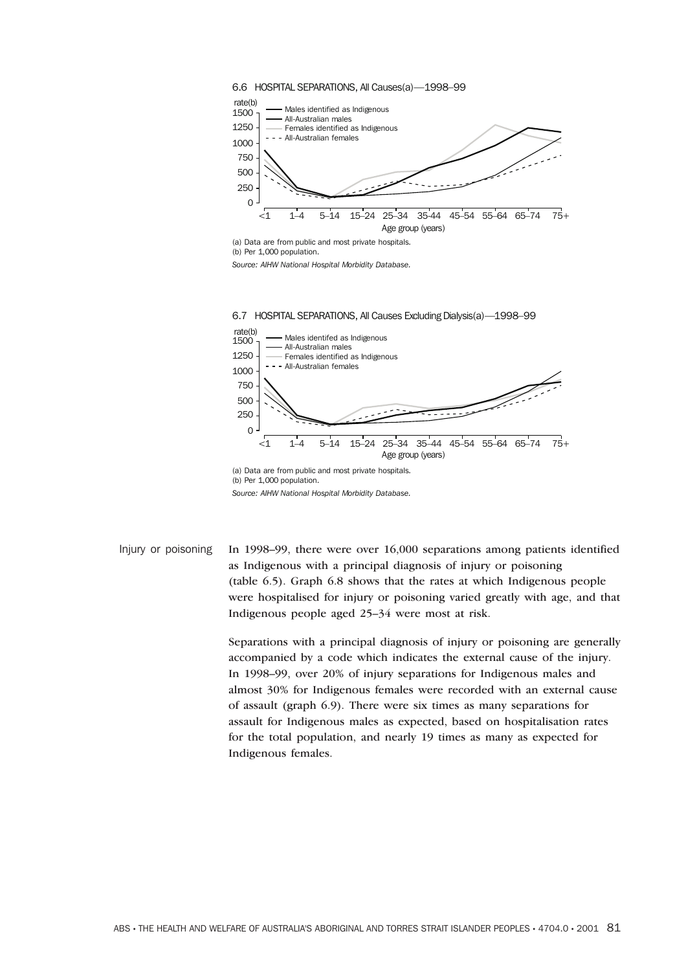

(a) Data are from public and most private hospitals. (b) Per 1,000 population.

*Source: AIHW National Hospital Morbidity Database.*



*Source: AIHW National Hospital Morbidity Database.*

Injury or poisoning In 1998–99, there were over 16,000 separations among patients identified as Indigenous with a principal diagnosis of injury or poisoning (table 6.5). Graph 6.8 shows that the rates at which Indigenous people were hospitalised for injury or poisoning varied greatly with age, and that Indigenous people aged 25–34 were most at risk.

> Separations with a principal diagnosis of injury or poisoning are generally accompanied by a code which indicates the external cause of the injury. In 1998–99, over 20% of injury separations for Indigenous males and almost 30% for Indigenous females were recorded with an external cause of assault (graph 6.9). There were six times as many separations for assault for Indigenous males as expected, based on hospitalisation rates for the total population, and nearly 19 times as many as expected for Indigenous females.

ABS • THE HEALTH AND WELFARE OF AUSTRALIA'S ABORIGINAL AND TORRES STRAIT ISLANDER PEOPLES • 4704.0 • 2001 81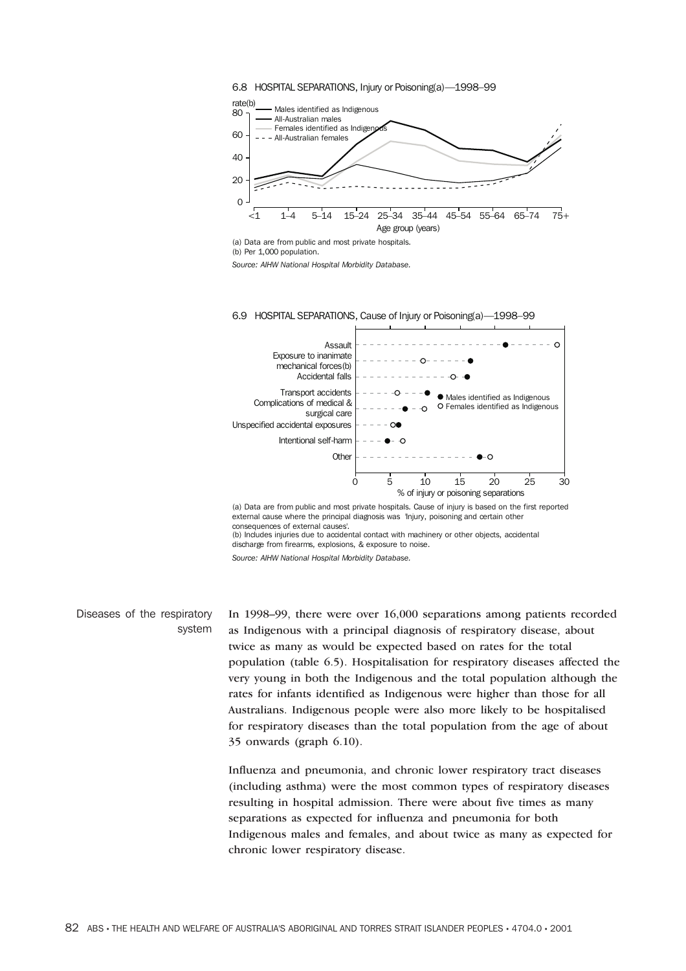



(a) Data are from public and most private hospitals.

*Source: AIHW National Hospital Morbidity Database.*



(a) Data are from public and most private hospitals. Cause of injury is based on the first reported external cause where the principal diagnosis was 'Injury, poisoning and certain other consequences of external causes'.

(b) Includes injuries due to accidental contact with machinery or other objects, accidental discharge from firearms, explosions, & exposure to noise.

*Source: AIHW National Hospital Morbidity Database.*

Diseases of the respiratory system In 1998–99, there were over 16,000 separations among patients recorded as Indigenous with a principal diagnosis of respiratory disease, about twice as many as would be expected based on rates for the total population (table 6.5). Hospitalisation for respiratory diseases affected the very young in both the Indigenous and the total population although the rates for infants identified as Indigenous were higher than those for all Australians. Indigenous people were also more likely to be hospitalised for respiratory diseases than the total population from the age of about 35 onwards (graph 6.10).

Influenza and pneumonia, and chronic lower respiratory tract diseases (including asthma) were the most common types of respiratory diseases resulting in hospital admission. There were about five times as many separations as expected for influenza and pneumonia for both Indigenous males and females, and about twice as many as expected for chronic lower respiratory disease.

<sup>(</sup>b) Per 1,000 population.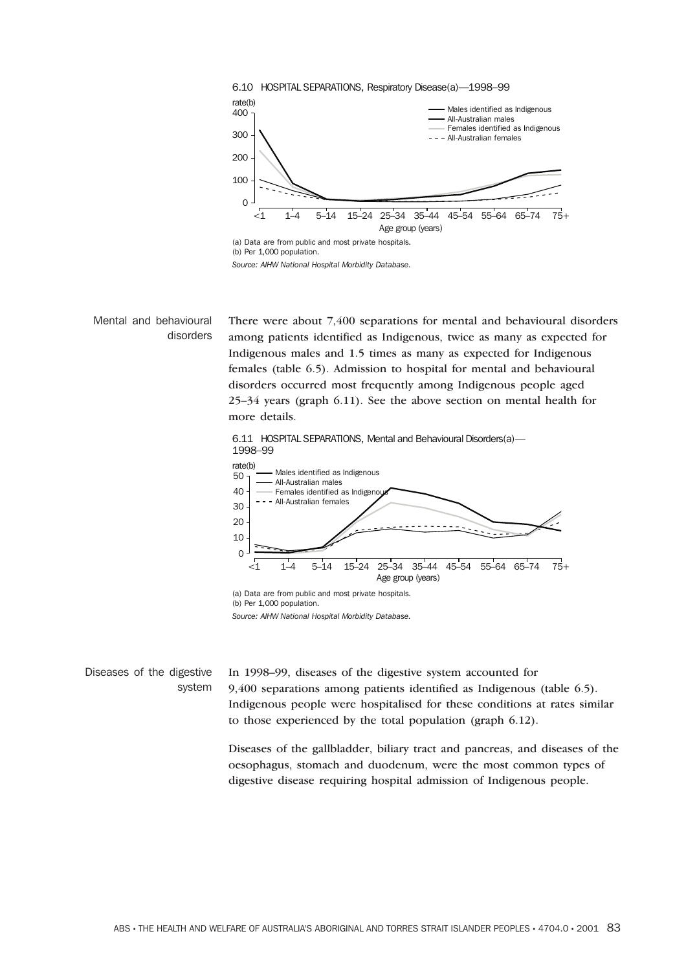



Mental and behavioural disorders There were about 7,400 separations for mental and behavioural disorders among patients identified as Indigenous, twice as many as expected for Indigenous males and 1.5 times as many as expected for Indigenous females (table 6.5). Admission to hospital for mental and behavioural disorders occurred most frequently among Indigenous people aged 25–34 years (graph 6.11). See the above section on mental health for more details. 6.11 HOSPITAL SEPARATIONS, Mental and Behavioural Disorders(a)— 1998–99 <1 1–4 5–14 15–24 25–34 35–44 45–54 55–64 65–74 75+ rate(b)<br>50 - $\mathcal{C}$ 10 20 30 40 Males identified as Indigenous All-Australian males Females identified as Indigen All-Australian females

> (a) Data are from public and most private hospitals. (b) Per 1,000 population.



Diseases of the digestive system In 1998–99, diseases of the digestive system accounted for 9,400 separations among patients identified as Indigenous (table 6.5). Indigenous people were hospitalised for these conditions at rates similar to those experienced by the total population (graph 6.12).

> Diseases of the gallbladder, biliary tract and pancreas, and diseases of the oesophagus, stomach and duodenum, were the most common types of digestive disease requiring hospital admission of Indigenous people.

Age group (years)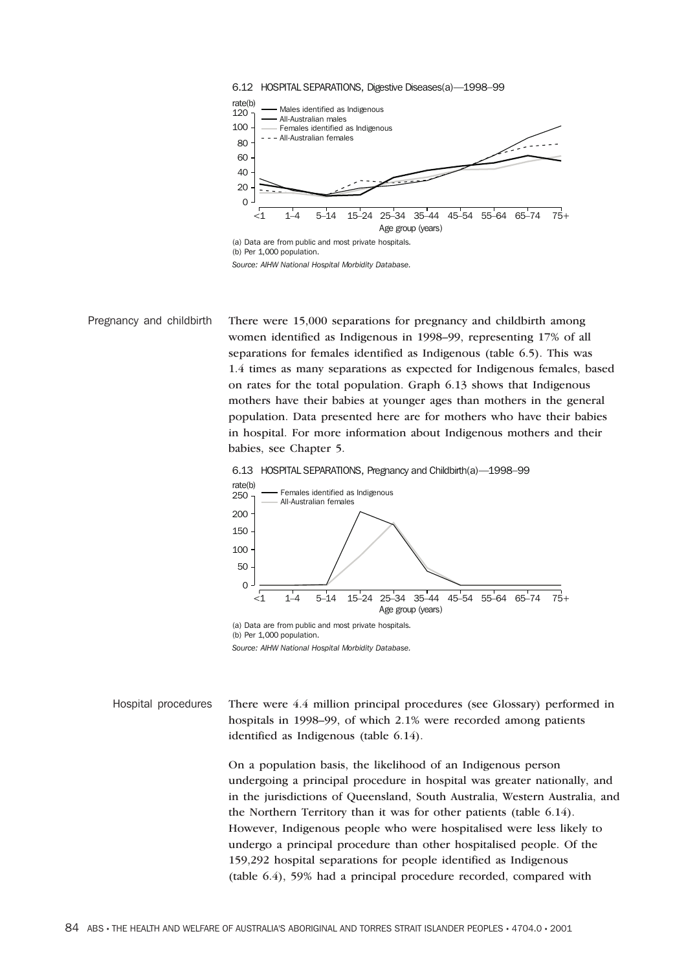



Pregnancy and childbirth There were 15,000 separations for pregnancy and childbirth among women identified as Indigenous in 1998–99, representing 17% of all separations for females identified as Indigenous (table 6.5). This was 1.4 times as many separations as expected for Indigenous females, based on rates for the total population. Graph 6.13 shows that Indigenous mothers have their babies at younger ages than mothers in the general population. Data presented here are for mothers who have their babies in hospital. For more information about Indigenous mothers and their babies, see Chapter 5.





*Source: AIHW National Hospital Morbidity Database.*

Hospital procedures There were 4.4 million principal procedures (see Glossary) performed in hospitals in 1998–99, of which 2.1% were recorded among patients identified as Indigenous (table 6.14).

> On a population basis, the likelihood of an Indigenous person undergoing a principal procedure in hospital was greater nationally, and in the jurisdictions of Queensland, South Australia, Western Australia, and the Northern Territory than it was for other patients (table 6.14). However, Indigenous people who were hospitalised were less likely to undergo a principal procedure than other hospitalised people. Of the 159,292 hospital separations for people identified as Indigenous (table 6.4), 59% had a principal procedure recorded, compared with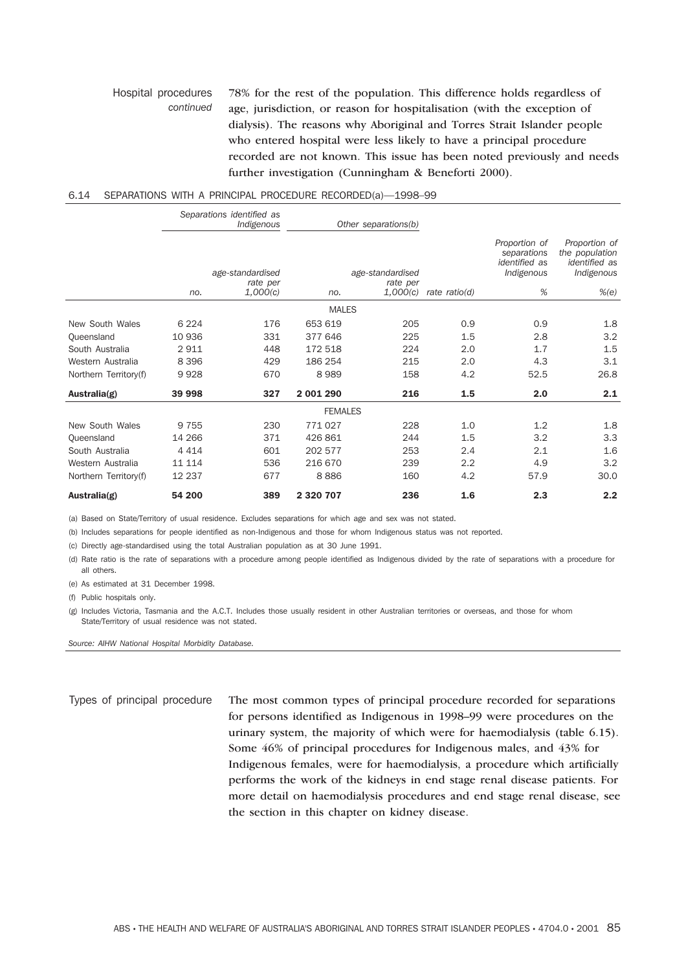#### Hospital procedures *continued* 78% for the rest of the population. This difference holds regardless of age, jurisdiction, or reason for hospitalisation (with the exception of dialysis). The reasons why Aboriginal and Torres Strait Islander people who entered hospital were less likely to have a principal procedure recorded are not known. This issue has been noted previously and needs further investigation (Cunningham & Beneforti 2000).

### 6.14 SEPARATIONS WITH A PRINCIPAL PROCEDURE RECORDED(a)—1998–99

|                               |                | Separations identified as<br>Indigenous  |                    | Other separations(b)                     |                 |                                                                         |                                                                                |
|-------------------------------|----------------|------------------------------------------|--------------------|------------------------------------------|-----------------|-------------------------------------------------------------------------|--------------------------------------------------------------------------------|
|                               | no.            | age-standardised<br>rate per<br>1,000(c) | no.                | age-standardised<br>rate per<br>1,000(c) | rate $ratio(d)$ | Proportion of<br>separations<br><i>identified</i> as<br>Indigenous<br>% | Proportion of<br>the population<br><i>identified</i> as<br>Indigenous<br>% (e) |
|                               |                |                                          | <b>MALES</b>       |                                          |                 |                                                                         |                                                                                |
| New South Wales               | 6 2 2 4        | 176                                      | 653 619            | 205                                      | 0.9             | 0.9                                                                     | 1.8                                                                            |
| Oueensland<br>South Australia | 10 936<br>2911 | 331<br>448                               | 377 646<br>172 518 | 225<br>224                               | 1.5<br>2.0      | 2.8<br>1.7                                                              | 3.2<br>1.5                                                                     |
| Western Australia             | 8 3 9 6        | 429                                      | 186 254            | 215                                      | 2.0             | 4.3                                                                     | 3.1                                                                            |
| Northern Territory(f)         | 9928           | 670                                      | 8989               | 158                                      | 4.2             | 52.5                                                                    | 26.8                                                                           |
| Australia(g)                  | 39 998         | 327                                      | 2 001 290          | 216                                      | 1.5             | 2.0                                                                     | 2.1                                                                            |
|                               |                |                                          | <b>FEMALES</b>     |                                          |                 |                                                                         |                                                                                |
| New South Wales               | 9 7 5 5        | 230                                      | 771 027            | 228                                      | 1.0             | 1.2                                                                     | 1.8                                                                            |
| Queensland                    | 14 266         | 371                                      | 426 861            | 244                                      | 1.5             | 3.2                                                                     | 3.3                                                                            |
| South Australia               | 4 4 1 4        | 601                                      | 202 577            | 253                                      | 2.4             | 2.1                                                                     | 1.6                                                                            |
| Western Australia             | 11 114         | 536                                      | 216 670            | 239                                      | 2.2             | 4.9                                                                     | 3.2                                                                            |
| Northern Territory(f)         | 12 2 3 7       | 677                                      | 8886               | 160                                      | 4.2             | 57.9                                                                    | 30.0                                                                           |
| Australia(g)                  | 54 200         | 389                                      | 2 320 707          | 236                                      | 1.6             | 2.3                                                                     | 2.2                                                                            |

(a) Based on State/Territory of usual residence. Excludes separations for which age and sex was not stated.

(b) Includes separations for people identified as non-Indigenous and those for whom Indigenous status was not reported.

(c) Directly age-standardised using the total Australian population as at 30 June 1991.

(d) Rate ratio is the rate of separations with a procedure among people identified as Indigenous divided by the rate of separations with a procedure for all others.

(e) As estimated at 31 December 1998.

(f) Public hospitals only.

(g) Includes Victoria, Tasmania and the A.C.T. Includes those usually resident in other Australian territories or overseas, and those for whom State/Territory of usual residence was not stated.

*Source: AIHW National Hospital Morbidity Database.*

Types of principal procedure The most common types of principal procedure recorded for separations for persons identified as Indigenous in 1998–99 were procedures on the urinary system, the majority of which were for haemodialysis (table 6.15). Some 46% of principal procedures for Indigenous males, and 43% for Indigenous females, were for haemodialysis, a procedure which artificially performs the work of the kidneys in end stage renal disease patients. For more detail on haemodialysis procedures and end stage renal disease, see the section in this chapter on kidney disease.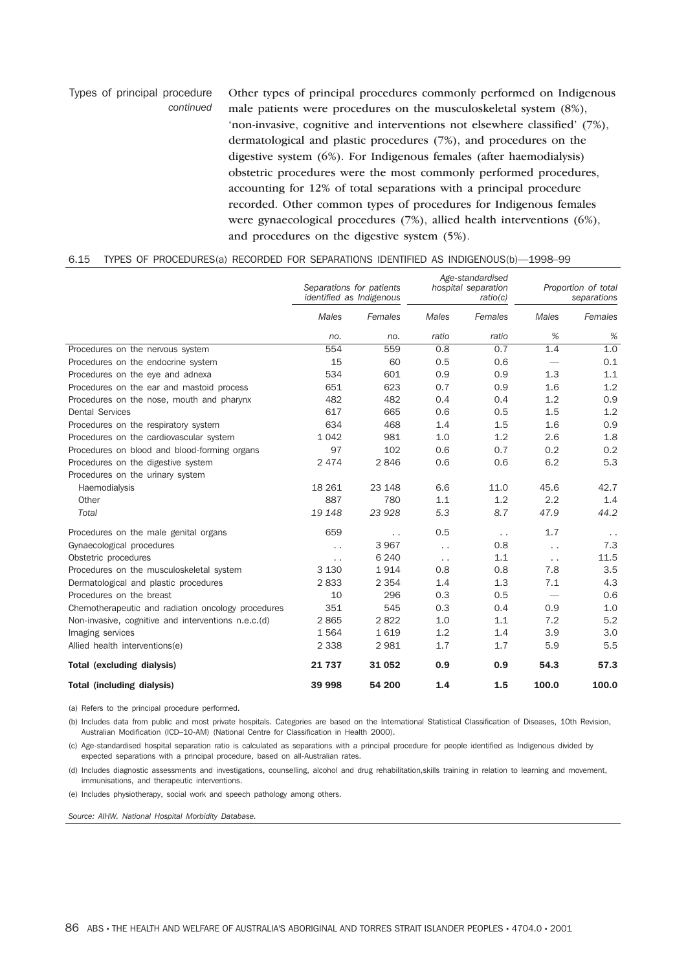Types of principal procedure *continued* Other types of principal procedures commonly performed on Indigenous male patients were procedures on the musculoskeletal system (8%), 'non-invasive, cognitive and interventions not elsewhere classified' (7%), dermatological and plastic procedures (7%), and procedures on the digestive system (6%). For Indigenous females (after haemodialysis) obstetric procedures were the most commonly performed procedures, accounting for 12% of total separations with a principal procedure recorded. Other common types of procedures for Indigenous females were gynaecological procedures (7%), allied health interventions (6%), and procedures on the digestive system (5%).

## 6.15 TYPES OF PROCEDURES(a) RECORDED FOR SEPARATIONS IDENTIFIED AS INDIGENOUS(b)—1998–99

|                                                     | Separations for patients<br>identified as Indigenous |           | Age-standardised<br>hospital separation<br>ratio(c) |                      | Proportion of total<br>separations |                      |
|-----------------------------------------------------|------------------------------------------------------|-----------|-----------------------------------------------------|----------------------|------------------------------------|----------------------|
|                                                     | <b>Males</b>                                         | Females   | <b>Males</b>                                        | Females              | Males                              | Females              |
|                                                     | no.                                                  | no.       | ratio                                               | ratio                | %                                  | %                    |
| Procedures on the nervous system                    | 554                                                  | 559       | 0.8                                                 | 0.7                  | 1.4                                | 1.0                  |
| Procedures on the endocrine system                  | 15                                                   | 60        | 0.5                                                 | 0.6                  | $\hspace{0.1mm}-\hspace{0.1mm}$    | 0.1                  |
| Procedures on the eye and adnexa                    | 534                                                  | 601       | 0.9                                                 | 0.9                  | 1.3                                | 1.1                  |
| Procedures on the ear and mastoid process           | 651                                                  | 623       | 0.7                                                 | 0.9                  | 1.6                                | 1.2                  |
| Procedures on the nose, mouth and pharynx           | 482                                                  | 482       | 0.4                                                 | 0.4                  | 1.2                                | 0.9                  |
| <b>Dental Services</b>                              | 617                                                  | 665       | 0.6                                                 | 0.5                  | 1.5                                | 1.2                  |
| Procedures on the respiratory system                | 634                                                  | 468       | 1.4                                                 | 1.5                  | 1.6                                | 0.9                  |
| Procedures on the cardiovascular system             | 1042                                                 | 981       | 1.0                                                 | 1.2                  | 2.6                                | 1.8                  |
| Procedures on blood and blood-forming organs        | 97                                                   | 102       | 0.6                                                 | 0.7                  | 0.2                                | 0.2                  |
| Procedures on the digestive system                  | 2474                                                 | 2846      | 0.6                                                 | 0.6                  | 6.2                                | 5.3                  |
| Procedures on the urinary system                    |                                                      |           |                                                     |                      |                                    |                      |
| Haemodialysis                                       | 18 26 1                                              | 23 148    | 6.6                                                 | 11.0                 | 45.6                               | 42.7                 |
| Other                                               | 887                                                  | 780       | 1.1                                                 | 1.2                  | 2.2                                | 1.4                  |
| Total                                               | 19 148                                               | 23 928    | 5.3                                                 | 8.7                  | 47.9                               | 44.2                 |
| Procedures on the male genital organs               | 659                                                  | $\ddotsc$ | 0.5                                                 | $\ddot{\phantom{0}}$ | 1.7                                | $\ddot{\phantom{1}}$ |
| Gynaecological procedures                           | $\ddot{\phantom{0}}$                                 | 3967      | $\ddot{\phantom{0}}$                                | 0.8                  | $\ddot{\phantom{0}}$               | 7.3                  |
| Obstetric procedures                                | $\ddot{\phantom{0}}$                                 | 6 2 4 0   | $\ddot{\phantom{0}}$                                | 1.1                  | $\ddot{\phantom{0}}$               | 11.5                 |
| Procedures on the musculoskeletal system            | 3 1 3 0                                              | 1914      | 0.8                                                 | 0.8                  | 7.8                                | 3.5                  |
| Dermatological and plastic procedures               | 2833                                                 | 2 3 5 4   | 1.4                                                 | 1.3                  | 7.1                                | 4.3                  |
| Procedures on the breast                            | 10                                                   | 296       | 0.3                                                 | 0.5                  | $\overline{\phantom{m}}$           | 0.6                  |
| Chemotherapeutic and radiation oncology procedures  | 351                                                  | 545       | 0.3                                                 | 0.4                  | 0.9                                | 1.0                  |
| Non-invasive, cognitive and interventions n.e.c.(d) | 2865                                                 | 2822      | 1.0                                                 | 1.1                  | 7.2                                | 5.2                  |
| Imaging services                                    | 1564                                                 | 1619      | 1.2                                                 | 1.4                  | 3.9                                | 3.0                  |
| Allied health interventions(e)                      | 2 3 3 8                                              | 2981      | 1.7                                                 | 1.7                  | 5.9                                | 5.5                  |
| <b>Total (excluding dialysis)</b>                   | 21 737                                               | 31 052    | 0.9                                                 | 0.9                  | 54.3                               | 57.3                 |
| <b>Total (including dialysis)</b>                   | 39 998                                               | 54 200    | 1.4                                                 | 1.5                  | 100.0                              | 100.0                |

(a) Refers to the principal procedure performed.

(b) Includes data from public and most private hospitals. Categories are based on the International Statistical Classification of Diseases, 10th Revision, Australian Modification (ICD–10-AM) (National Centre for Classification in Health 2000).

(c) Age-standardised hospital separation ratio is calculated as separations with a principal procedure for people identified as Indigenous divided by expected separations with a principal procedure, based on all-Australian rates.

(d) Includes diagnostic assessments and investigations, counselling, alcohol and drug rehabilitation,skills training in relation to learning and movement, immunisations, and therapeutic interventions.

(e) Includes physiotherapy, social work and speech pathology among others.

*Source: AIHW. National Hospital Morbidity Database.*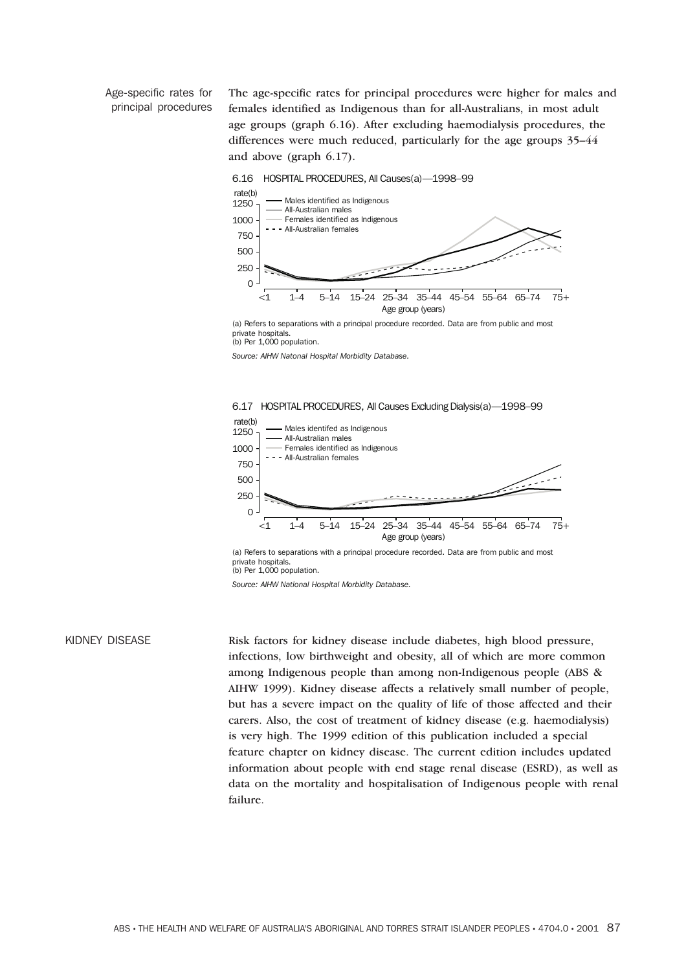Age-specific rates for principal procedures The age-specific rates for principal procedures were higher for males and females identified as Indigenous than for all-Australians, in most adult age groups (graph 6.16). After excluding haemodialysis procedures, the differences were much reduced, particularly for the age groups 35–44 and above (graph 6.17).



(a) Refers to separations with a principal procedure recorded. Data are from public and most private hospitals. (b) Per 1,000 population.

*Source: AIHW Natonal Hospital Morbidity Database.*



(a) Refers to separations with a principal procedure recorded. Data are from public and most private hospitals

(b) Per 1,000 population.

*Source: AIHW National Hospital Morbidity Database.*

KIDNEY DISEASE Risk factors for kidney disease include diabetes, high blood pressure, infections, low birthweight and obesity, all of which are more common among Indigenous people than among non-Indigenous people (ABS & AIHW 1999). Kidney disease affects a relatively small number of people, but has a severe impact on the quality of life of those affected and their carers. Also, the cost of treatment of kidney disease (e.g. haemodialysis) is very high. The 1999 edition of this publication included a special feature chapter on kidney disease. The current edition includes updated information about people with end stage renal disease (ESRD), as well as data on the mortality and hospitalisation of Indigenous people with renal failure.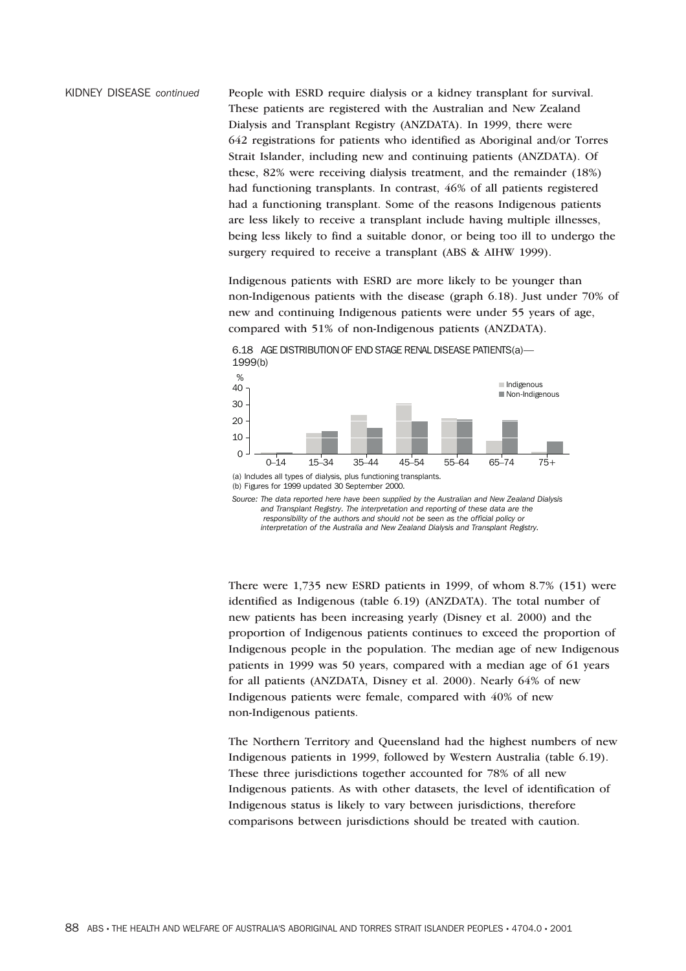KIDNEY DISEASE *continued* People with ESRD require dialysis or a kidney transplant for survival. These patients are registered with the Australian and New Zealand Dialysis and Transplant Registry (ANZDATA). In 1999, there were 642 registrations for patients who identified as Aboriginal and/or Torres Strait Islander, including new and continuing patients (ANZDATA). Of these, 82% were receiving dialysis treatment, and the remainder (18%) had functioning transplants. In contrast, 46% of all patients registered had a functioning transplant. Some of the reasons Indigenous patients are less likely to receive a transplant include having multiple illnesses, being less likely to find a suitable donor, or being too ill to undergo the surgery required to receive a transplant (ABS & AIHW 1999).

> Indigenous patients with ESRD are more likely to be younger than non-Indigenous patients with the disease (graph 6.18). Just under 70% of new and continuing Indigenous patients were under 55 years of age, compared with 51% of non-Indigenous patients (ANZDATA).



6.18 AGE DISTRIBUTION OF END STAGE RENAL DISEASE PATIENTS(a)—

(b) Figures for 1999 updated 30 September 2000.

*Source: The data reported here have been supplied by the Australian and New Zealand Dialysis and Transplant Registry. The interpretation and reporting of these data are the responsibility of the authors and should not be seen as the official policy or interpretation of the Australia and New Zealand Dialysis and Transplant Registry.*

There were 1,735 new ESRD patients in 1999, of whom 8.7% (151) were identified as Indigenous (table 6.19) (ANZDATA). The total number of new patients has been increasing yearly (Disney et al. 2000) and the proportion of Indigenous patients continues to exceed the proportion of Indigenous people in the population. The median age of new Indigenous patients in 1999 was 50 years, compared with a median age of 61 years for all patients (ANZDATA, Disney et al. 2000). Nearly 64% of new Indigenous patients were female, compared with 40% of new non-Indigenous patients.

The Northern Territory and Queensland had the highest numbers of new Indigenous patients in 1999, followed by Western Australia (table 6.19). These three jurisdictions together accounted for 78% of all new Indigenous patients. As with other datasets, the level of identification of Indigenous status is likely to vary between jurisdictions, therefore comparisons between jurisdictions should be treated with caution.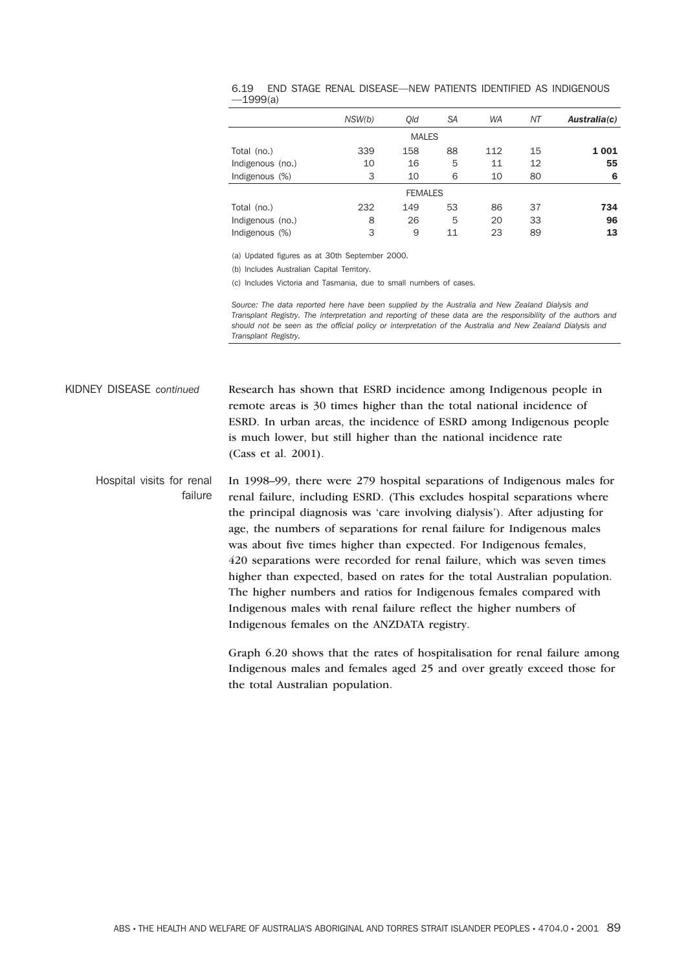|                  | NSW(b) | Old | <b>SA</b>      | <b>WA</b> | ΝT | Australia(c) |
|------------------|--------|-----|----------------|-----------|----|--------------|
|                  |        |     | <b>MALES</b>   |           |    |              |
| Total (no.)      | 339    | 158 | 88             | 112       | 15 | 1 0 0 1      |
| Indigenous (no.) | 10     | 16  | 5              | 11        | 12 | 55           |
| Indigenous (%)   | 3      | 10  | 6              | 10        | 80 | 6            |
|                  |        |     | <b>FEMALES</b> |           |    |              |
| Total (no.)      | 232    | 149 | 53             | 86        | 37 | 734          |
| Indigenous (no.) | 8      | 26  | 5              | 20        | 33 | 96           |
| Indigenous (%)   | 3      | 9   | 11             | 23        | 89 | 13           |

### 6.19 END STAGE RENAL DISEASE—NEW PATIENTS IDENTIFIED AS INDIGENOUS  $-1999(a)$

(a) Updated figures as at 30th September 2000.

(b) Includes Australian Capital Territory.

(c) Includes Victoria and Tasmania, due to small numbers of cases.

*Source: The data reported here have been supplied by the Australia and New Zealand Dialysis and Transplant Registry. The interpretation and reporting of these data are the responsibility of the authors and should not be seen as the official policy or interpretation of the Australia and New Zealand Dialysis and Transplant Registry.*

KIDNEY DISEASE *continued* Research has shown that ESRD incidence among Indigenous people in remote areas is 30 times higher than the total national incidence of ESRD. In urban areas, the incidence of ESRD among Indigenous people is much lower, but still higher than the national incidence rate (Cass et al. 2001).

Hospital visits for renal failure In 1998–99, there were 279 hospital separations of Indigenous males for renal failure, including ESRD. (This excludes hospital separations where the principal diagnosis was 'care involving dialysis'). After adjusting for age, the numbers of separations for renal failure for Indigenous males was about five times higher than expected. For Indigenous females, 420 separations were recorded for renal failure, which was seven times higher than expected, based on rates for the total Australian population. The higher numbers and ratios for Indigenous females compared with Indigenous males with renal failure reflect the higher numbers of Indigenous females on the ANZDATA registry.

> Graph 6.20 shows that the rates of hospitalisation for renal failure among Indigenous males and females aged 25 and over greatly exceed those for the total Australian population.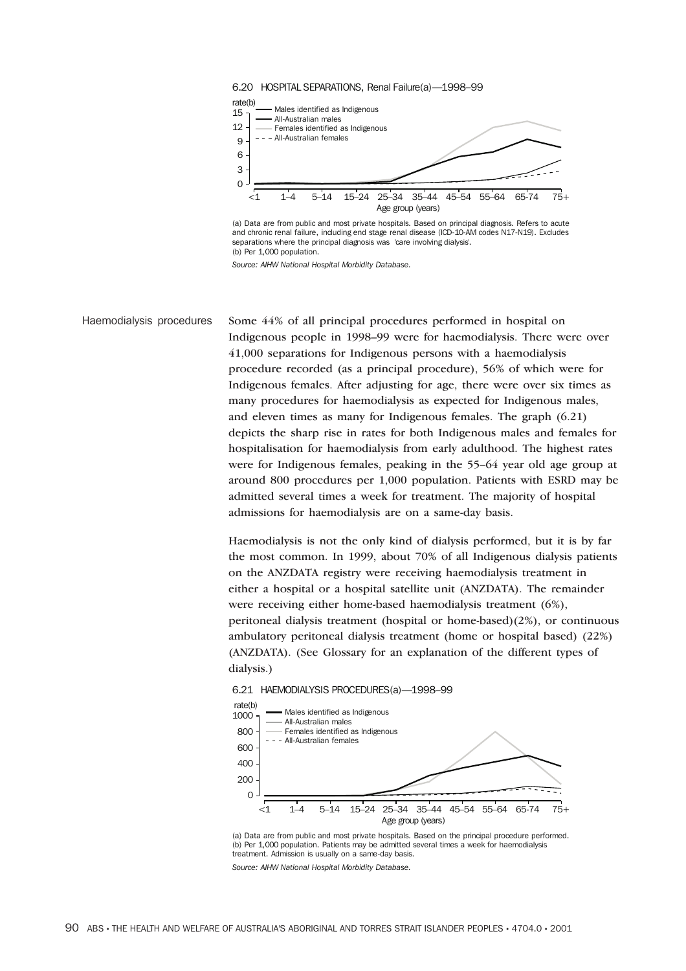

(a) Data are from public and most private hospitals. Based on principal diagnosis. Refers to acute and chronic renal failure, including end stage renal disease (ICD-10-AM codes N17-N19). Excludes separations where the principal diagnosis was 'care involving dialysis'. (b) Per 1,000 population.

*Source: AIHW National Hospital Morbidity Database.*

Haemodialysis procedures Some 44% of all principal procedures performed in hospital on Indigenous people in 1998–99 were for haemodialysis. There were over 41,000 separations for Indigenous persons with a haemodialysis procedure recorded (as a principal procedure), 56% of which were for Indigenous females. After adjusting for age, there were over six times as many procedures for haemodialysis as expected for Indigenous males, and eleven times as many for Indigenous females. The graph (6.21) depicts the sharp rise in rates for both Indigenous males and females for hospitalisation for haemodialysis from early adulthood. The highest rates were for Indigenous females, peaking in the 55–64 year old age group at around 800 procedures per 1,000 population. Patients with ESRD may be admitted several times a week for treatment. The majority of hospital admissions for haemodialysis are on a same-day basis.

> Haemodialysis is not the only kind of dialysis performed, but it is by far the most common. In 1999, about 70% of all Indigenous dialysis patients on the ANZDATA registry were receiving haemodialysis treatment in either a hospital or a hospital satellite unit (ANZDATA). The remainder were receiving either home-based haemodialysis treatment (6%), peritoneal dialysis treatment (hospital or home-based)(2%), or continuous ambulatory peritoneal dialysis treatment (home or hospital based) (22%) (ANZDATA). (See Glossary for an explanation of the different types of dialysis.)

6.21 HAEMODIALYSIS PROCEDURES(a)—1998–99



<sup>(</sup>a) Data are from public and most private hospitals. Based on the principal procedure performed. (b) Per 1,000 population. Patients may be admitted several times a week for haemodialysis treatment. Admission is usually on a same-day basis.

*Source: AIHW National Hospital Morbidity Database.*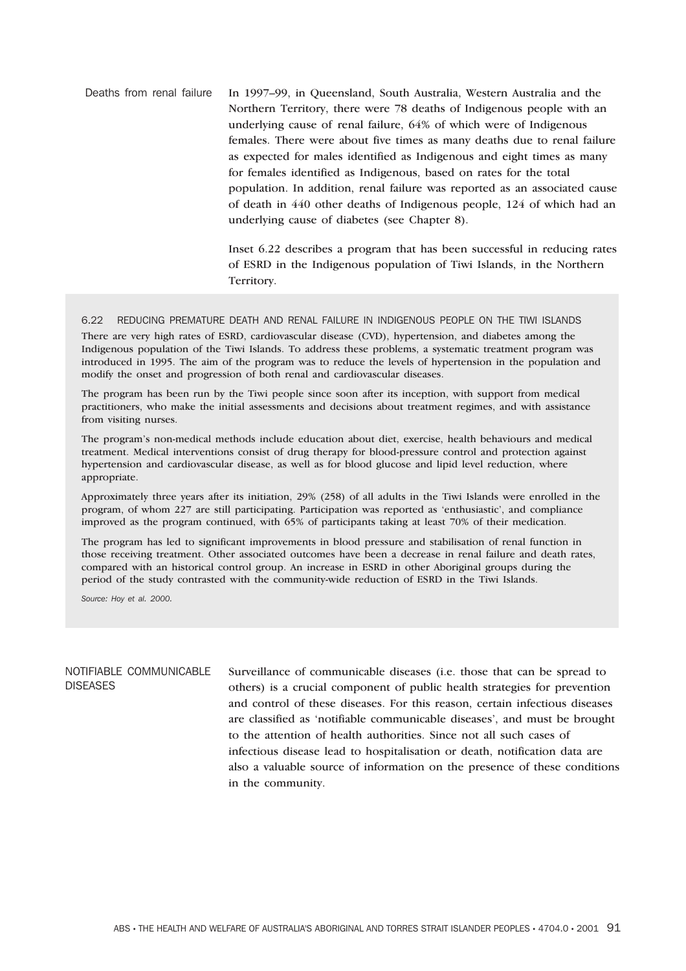Deaths from renal failure In 1997–99, in Queensland, South Australia, Western Australia and the Northern Territory, there were 78 deaths of Indigenous people with an underlying cause of renal failure, 64% of which were of Indigenous females. There were about five times as many deaths due to renal failure as expected for males identified as Indigenous and eight times as many for females identified as Indigenous, based on rates for the total population. In addition, renal failure was reported as an associated cause of death in 440 other deaths of Indigenous people, 124 of which had an underlying cause of diabetes (see Chapter 8).

> Inset 6.22 describes a program that has been successful in reducing rates of ESRD in the Indigenous population of Tiwi Islands, in the Northern Territory.

6.22 REDUCING PREMATURE DEATH AND RENAL FAILURE IN INDIGENOUS PEOPLE ON THE TIWI ISLANDS

There are very high rates of ESRD, cardiovascular disease (CVD), hypertension, and diabetes among the Indigenous population of the Tiwi Islands. To address these problems, a systematic treatment program was introduced in 1995. The aim of the program was to reduce the levels of hypertension in the population and modify the onset and progression of both renal and cardiovascular diseases.

The program has been run by the Tiwi people since soon after its inception, with support from medical practitioners, who make the initial assessments and decisions about treatment regimes, and with assistance from visiting nurses.

The program's non-medical methods include education about diet, exercise, health behaviours and medical treatment. Medical interventions consist of drug therapy for blood-pressure control and protection against hypertension and cardiovascular disease, as well as for blood glucose and lipid level reduction, where appropriate.

Approximately three years after its initiation, 29% (258) of all adults in the Tiwi Islands were enrolled in the program, of whom 227 are still participating. Participation was reported as 'enthusiastic', and compliance improved as the program continued, with 65% of participants taking at least 70% of their medication.

The program has led to significant improvements in blood pressure and stabilisation of renal function in those receiving treatment. Other associated outcomes have been a decrease in renal failure and death rates, compared with an historical control group. An increase in ESRD in other Aboriginal groups during the period of the study contrasted with the community-wide reduction of ESRD in the Tiwi Islands.

*Source: Hoy et al. 2000.*

# NOTIFIABLE COMMUNICABLE DISEASES

Surveillance of communicable diseases (i.e. those that can be spread to others) is a crucial component of public health strategies for prevention and control of these diseases. For this reason, certain infectious diseases are classified as 'notifiable communicable diseases', and must be brought to the attention of health authorities. Since not all such cases of infectious disease lead to hospitalisation or death, notification data are also a valuable source of information on the presence of these conditions in the community.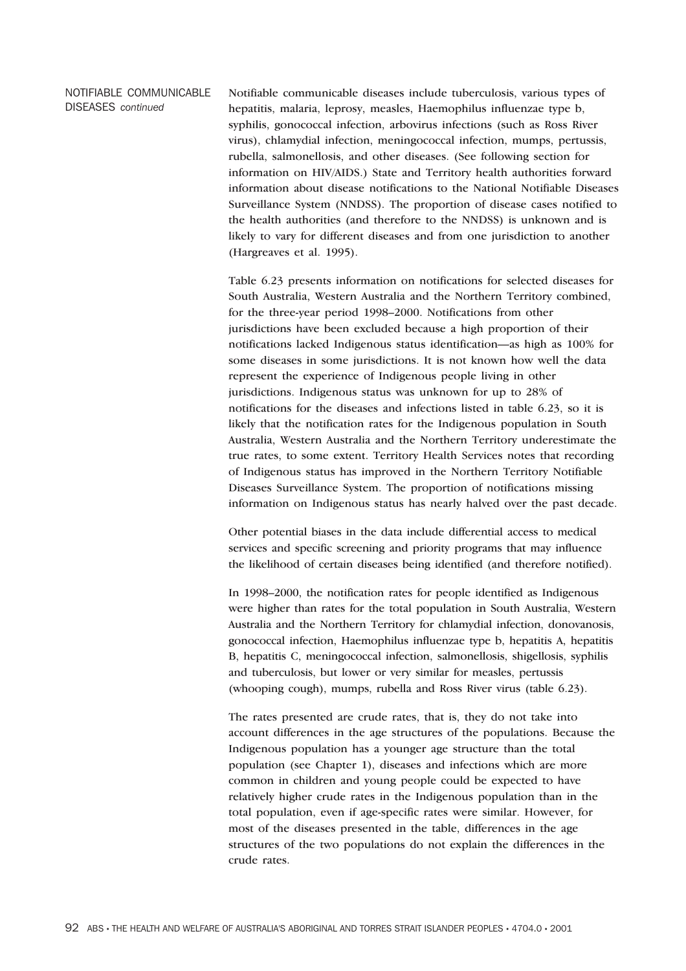# NOTIFIABLE COMMUNICABLE DISEASES *continued* Notifiable communicable diseases include tuberculosis, various types of hepatitis, malaria, leprosy, measles, Haemophilus influenzae type b, syphilis, gonococcal infection, arbovirus infections (such as Ross River virus), chlamydial infection, meningococcal infection, mumps, pertussis, rubella, salmonellosis, and other diseases. (See following section for information on HIV/AIDS.) State and Territory health authorities forward information about disease notifications to the National Notifiable Diseases Surveillance System (NNDSS). The proportion of disease cases notified to the health authorities (and therefore to the NNDSS) is unknown and is likely to vary for different diseases and from one jurisdiction to another (Hargreaves et al. 1995).

Table 6.23 presents information on notifications for selected diseases for South Australia, Western Australia and the Northern Territory combined, for the three-year period 1998–2000. Notifications from other jurisdictions have been excluded because a high proportion of their notifications lacked Indigenous status identification—as high as 100% for some diseases in some jurisdictions. It is not known how well the data represent the experience of Indigenous people living in other jurisdictions. Indigenous status was unknown for up to 28% of notifications for the diseases and infections listed in table 6.23, so it is likely that the notification rates for the Indigenous population in South Australia, Western Australia and the Northern Territory underestimate the true rates, to some extent. Territory Health Services notes that recording of Indigenous status has improved in the Northern Territory Notifiable Diseases Surveillance System. The proportion of notifications missing information on Indigenous status has nearly halved over the past decade.

Other potential biases in the data include differential access to medical services and specific screening and priority programs that may influence the likelihood of certain diseases being identified (and therefore notified).

In 1998–2000, the notification rates for people identified as Indigenous were higher than rates for the total population in South Australia, Western Australia and the Northern Territory for chlamydial infection, donovanosis, gonococcal infection, Haemophilus influenzae type b, hepatitis A, hepatitis B, hepatitis C, meningococcal infection, salmonellosis, shigellosis, syphilis and tuberculosis, but lower or very similar for measles, pertussis (whooping cough), mumps, rubella and Ross River virus (table 6.23).

The rates presented are crude rates, that is, they do not take into account differences in the age structures of the populations. Because the Indigenous population has a younger age structure than the total population (see Chapter 1), diseases and infections which are more common in children and young people could be expected to have relatively higher crude rates in the Indigenous population than in the total population, even if age-specific rates were similar. However, for most of the diseases presented in the table, differences in the age structures of the two populations do not explain the differences in the crude rates.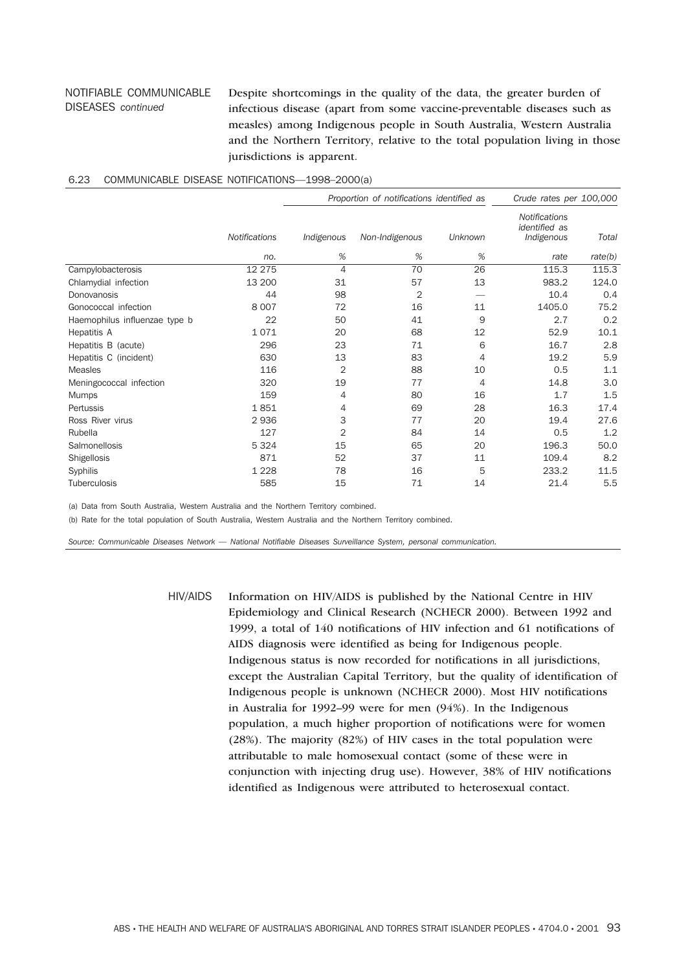## NOTIFIABLE COMMUNICABLE DISEASES *continued*

Despite shortcomings in the quality of the data, the greater burden of infectious disease (apart from some vaccine-preventable diseases such as measles) among Indigenous people in South Australia, Western Australia and the Northern Territory, relative to the total population living in those jurisdictions is apparent.

|                               |                      | Proportion of notifications identified as |                |         | Crude rates per 100,000                                    |         |
|-------------------------------|----------------------|-------------------------------------------|----------------|---------|------------------------------------------------------------|---------|
|                               | <b>Notifications</b> | Indigenous                                | Non-Indigenous | Unknown | <b>Notifications</b><br><i>identified</i> as<br>Indigenous | Total   |
|                               | no.                  | %                                         | %              | %       | rate                                                       | rate(b) |
| Campylobacterosis             | 12 275               | $\overline{4}$                            | 70             | 26      | 115.3                                                      | 115.3   |
| Chlamydial infection          | 13 200               | 31                                        | 57             | 13      | 983.2                                                      | 124.0   |
| Donovanosis                   | 44                   | 98                                        | 2              |         | 10.4                                                       | 0.4     |
| Gonococcal infection          | 8 0 0 7              | 72                                        | 16             | 11      | 1405.0                                                     | 75.2    |
| Haemophilus influenzae type b | 22                   | 50                                        | 41             | 9       | 2.7                                                        | 0.2     |
| Hepatitis A                   | 1071                 | 20                                        | 68             | 12      | 52.9                                                       | 10.1    |
| Hepatitis B (acute)           | 296                  | 23                                        | 71             | 6       | 16.7                                                       | 2.8     |
| Hepatitis C (incident)        | 630                  | 13                                        | 83             | 4       | 19.2                                                       | 5.9     |
| <b>Measles</b>                | 116                  | $\overline{2}$                            | 88             | 10      | 0.5                                                        | 1.1     |
| Meningococcal infection       | 320                  | 19                                        | 77             | 4       | 14.8                                                       | 3.0     |
| <b>Mumps</b>                  | 159                  | 4                                         | 80             | 16      | 1.7                                                        | 1.5     |
| Pertussis                     | 1851                 | 4                                         | 69             | 28      | 16.3                                                       | 17.4    |
| Ross River virus              | 2936                 | 3                                         | 77             | 20      | 19.4                                                       | 27.6    |
| Rubella                       | 127                  | $\overline{2}$                            | 84             | 14      | 0.5                                                        | 1.2     |
| Salmonellosis                 | 5 3 2 4              | 15                                        | 65             | 20      | 196.3                                                      | 50.0    |
| Shigellosis                   | 871                  | 52                                        | 37             | 11      | 109.4                                                      | 8.2     |
| Syphilis                      | 1 2 2 8              | 78                                        | 16             | 5       | 233.2                                                      | 11.5    |
| Tuberculosis                  | 585                  | 15                                        | 71             | 14      | 21.4                                                       | 5.5     |

### 6.23 COMMUNICABLE DISEASE NOTIFICATIONS—1998–2000(a)

(a) Data from South Australia, Western Australia and the Northern Territory combined.

(b) Rate for the total population of South Australia, Western Australia and the Northern Territory combined.

*Source: Communicable Diseases Network — National Notifiable Diseases Surveillance System, personal communication.*

HIV/AIDS Information on HIV/AIDS is published by the National Centre in HIV Epidemiology and Clinical Research (NCHECR 2000). Between 1992 and 1999, a total of 140 notifications of HIV infection and 61 notifications of AIDS diagnosis were identified as being for Indigenous people. Indigenous status is now recorded for notifications in all jurisdictions, except the Australian Capital Territory, but the quality of identification of Indigenous people is unknown (NCHECR 2000). Most HIV notifications in Australia for 1992–99 were for men (94%). In the Indigenous population, a much higher proportion of notifications were for women (28%). The majority (82%) of HIV cases in the total population were attributable to male homosexual contact (some of these were in conjunction with injecting drug use). However, 38% of HIV notifications identified as Indigenous were attributed to heterosexual contact.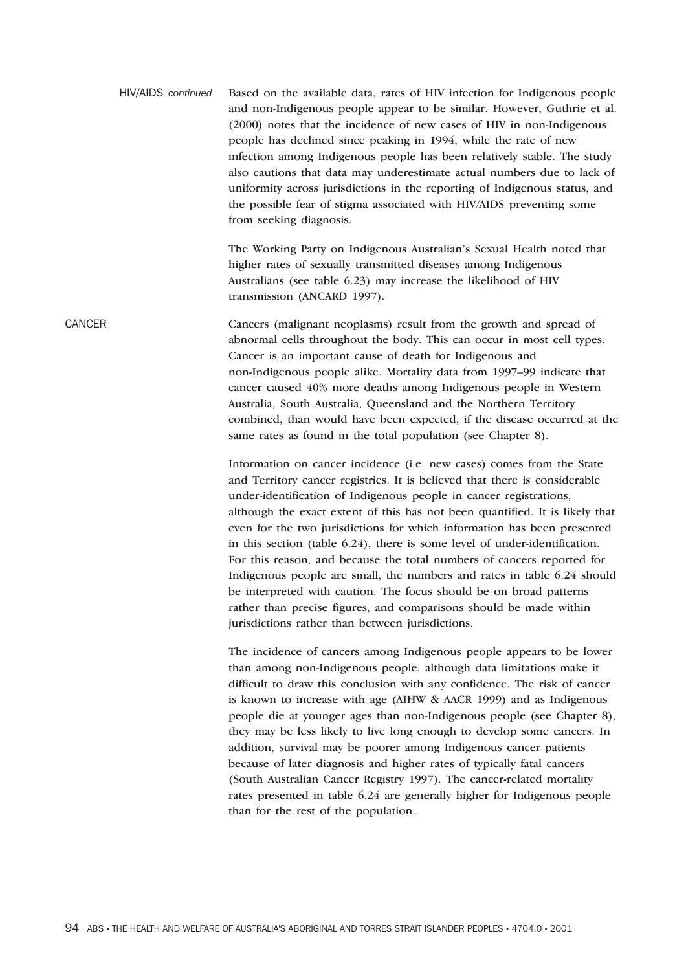|        | HIV/AIDS continued | Based on the available data, rates of HIV infection for Indigenous people<br>and non-Indigenous people appear to be similar. However, Guthrie et al.<br>(2000) notes that the incidence of new cases of HIV in non-Indigenous<br>people has declined since peaking in 1994, while the rate of new<br>infection among Indigenous people has been relatively stable. The study<br>also cautions that data may underestimate actual numbers due to lack of<br>uniformity across jurisdictions in the reporting of Indigenous status, and<br>the possible fear of stigma associated with HIV/AIDS preventing some<br>from seeking diagnosis.                                                                                                                                                                                |
|--------|--------------------|-------------------------------------------------------------------------------------------------------------------------------------------------------------------------------------------------------------------------------------------------------------------------------------------------------------------------------------------------------------------------------------------------------------------------------------------------------------------------------------------------------------------------------------------------------------------------------------------------------------------------------------------------------------------------------------------------------------------------------------------------------------------------------------------------------------------------|
|        |                    | The Working Party on Indigenous Australian's Sexual Health noted that<br>higher rates of sexually transmitted diseases among Indigenous<br>Australians (see table 6.23) may increase the likelihood of HIV<br>transmission (ANCARD 1997).                                                                                                                                                                                                                                                                                                                                                                                                                                                                                                                                                                               |
| CANCER |                    | Cancers (malignant neoplasms) result from the growth and spread of<br>abnormal cells throughout the body. This can occur in most cell types.<br>Cancer is an important cause of death for Indigenous and<br>non-Indigenous people alike. Mortality data from 1997-99 indicate that<br>cancer caused 40% more deaths among Indigenous people in Western<br>Australia, South Australia, Queensland and the Northern Territory<br>combined, than would have been expected, if the disease occurred at the<br>same rates as found in the total population (see Chapter 8).                                                                                                                                                                                                                                                  |
|        |                    | Information on cancer incidence (i.e. new cases) comes from the State<br>and Territory cancer registries. It is believed that there is considerable<br>under-identification of Indigenous people in cancer registrations,<br>although the exact extent of this has not been quantified. It is likely that<br>even for the two jurisdictions for which information has been presented<br>in this section (table 6.24), there is some level of under-identification.<br>For this reason, and because the total numbers of cancers reported for<br>Indigenous people are small, the numbers and rates in table 6.24 should<br>be interpreted with caution. The focus should be on broad patterns<br>rather than precise figures, and comparisons should be made within<br>jurisdictions rather than between jurisdictions. |
|        |                    | The incidence of cancers among Indigenous people appears to be lower<br>than among non-Indigenous people, although data limitations make it<br>difficult to draw this conclusion with any confidence. The risk of cancer<br>is known to increase with age (AIHW & AACR 1999) and as Indigenous<br>people die at younger ages than non-Indigenous people (see Chapter 8),<br>they may be less likely to live long enough to develop some cancers. In<br>addition, survival may be poorer among Indigenous cancer patients<br>because of later diagnosis and higher rates of typically fatal cancers<br>(South Australian Cancer Registry 1997). The cancer-related mortality<br>rates presented in table 6.24 are generally higher for Indigenous people<br>than for the rest of the population                          |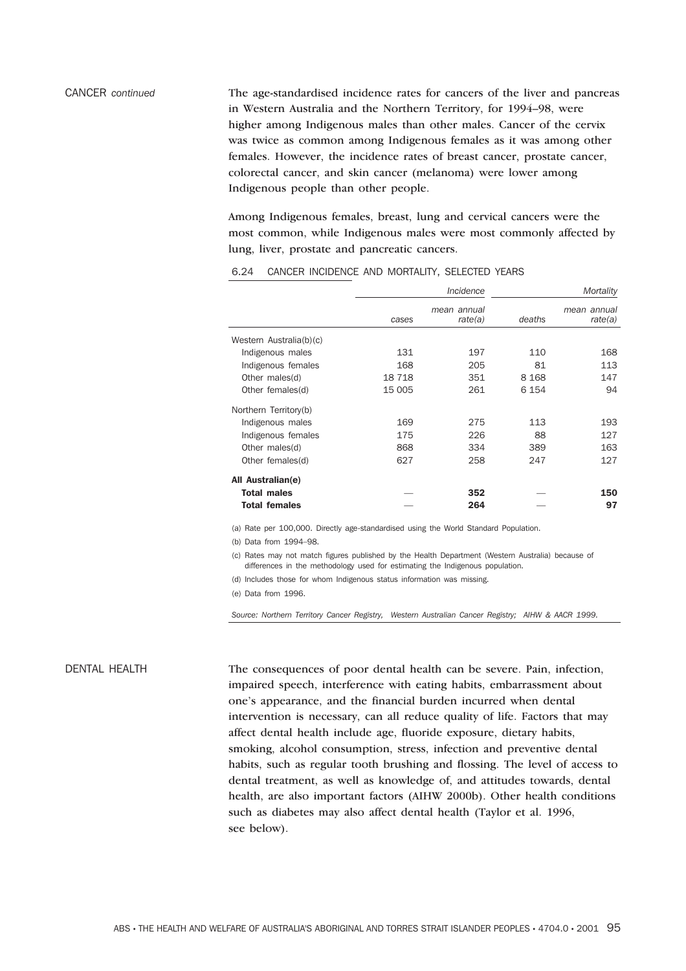CANCER *continued* The age-standardised incidence rates for cancers of the liver and pancreas in Western Australia and the Northern Territory, for 1994–98, were higher among Indigenous males than other males. Cancer of the cervix was twice as common among Indigenous females as it was among other females. However, the incidence rates of breast cancer, prostate cancer, colorectal cancer, and skin cancer (melanoma) were lower among Indigenous people than other people.

> Among Indigenous females, breast, lung and cervical cancers were the most common, while Indigenous males were most commonly affected by lung, liver, prostate and pancreatic cancers.

|                         |        | Incidence              |         | Mortality              |
|-------------------------|--------|------------------------|---------|------------------------|
|                         | cases  | mean annual<br>rate(a) | deaths  | mean annual<br>rate(a) |
| Western Australia(b)(c) |        |                        |         |                        |
| Indigenous males        | 131    | 197                    | 110     | 168                    |
| Indigenous females      | 168    | 205                    | 81      | 113                    |
| Other males(d)          | 18718  | 351                    | 8 1 6 8 | 147                    |
| Other females(d)        | 15 005 | 261                    | 6 1 5 4 | 94                     |
| Northern Territory(b)   |        |                        |         |                        |
| Indigenous males        | 169    | 275                    | 113     | 193                    |
| Indigenous females      | 175    | 226                    | 88      | 127                    |
| Other males(d)          | 868    | 334                    | 389     | 163                    |
| Other females(d)        | 627    | 258                    | 247     | 127                    |
| All Australian(e)       |        |                        |         |                        |
| <b>Total males</b>      |        | 352                    |         | 150                    |
| <b>Total females</b>    |        | 264                    |         | 97                     |

#### 6.24 CANCER INCIDENCE AND MORTALITY, SELECTED YEARS

(a) Rate per 100,000. Directly age-standardised using the World Standard Population.

(b) Data from 1994–98.

(c) Rates may not match figures published by the Health Department (Western Australia) because of differences in the methodology used for estimating the Indigenous population.

(d) Includes those for whom Indigenous status information was missing.

(e) Data from 1996.

*Source: Northern Territory Cancer Registry, Western Australian Cancer Registry; AIHW & AACR 1999.*

DENTAL HEALTH The consequences of poor dental health can be severe. Pain, infection, impaired speech, interference with eating habits, embarrassment about one's appearance, and the financial burden incurred when dental intervention is necessary, can all reduce quality of life. Factors that may affect dental health include age, fluoride exposure, dietary habits, smoking, alcohol consumption, stress, infection and preventive dental habits, such as regular tooth brushing and flossing. The level of access to dental treatment, as well as knowledge of, and attitudes towards, dental health, are also important factors (AIHW 2000b). Other health conditions such as diabetes may also affect dental health (Taylor et al. 1996, see below).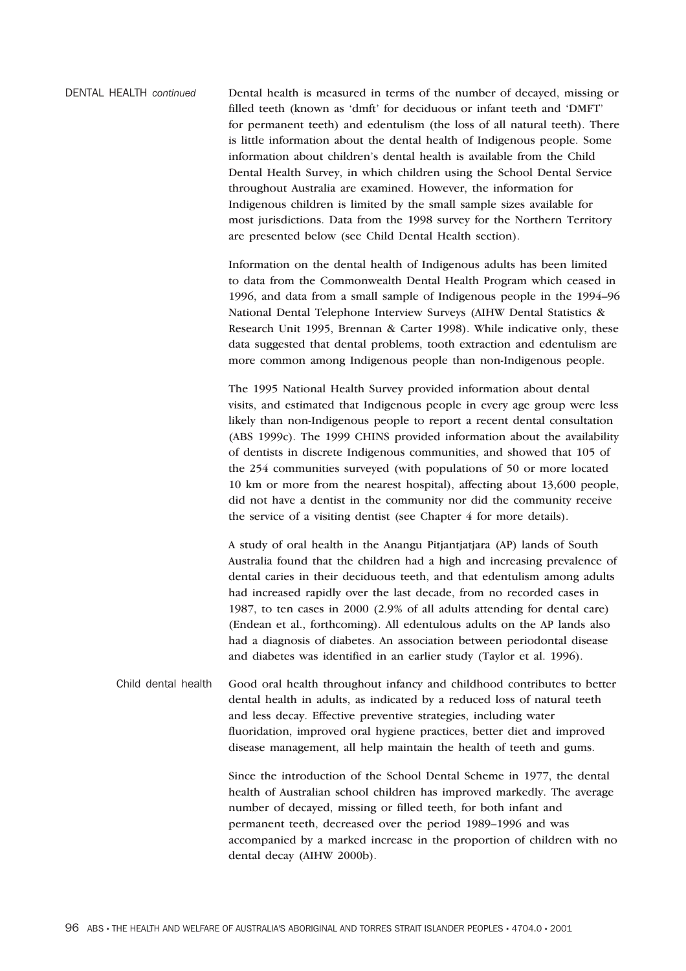| DENTAL HEALTH continued | Dental health is measured in terms of the number of decayed, missing or    |
|-------------------------|----------------------------------------------------------------------------|
|                         | filled teeth (known as 'dmft' for deciduous or infant teeth and 'DMFT'     |
|                         | for permanent teeth) and edentulism (the loss of all natural teeth). There |
|                         | is little information about the dental health of Indigenous people. Some   |
|                         | information about children's dental health is available from the Child     |
|                         | Dental Health Survey, in which children using the School Dental Service    |
|                         | throughout Australia are examined. However, the information for            |
|                         | Indigenous children is limited by the small sample sizes available for     |
|                         | most jurisdictions. Data from the 1998 survey for the Northern Territory   |
|                         | are presented below (see Child Dental Health section).                     |
|                         |                                                                            |

Information on the dental health of Indigenous adults has been limited to data from the Commonwealth Dental Health Program which ceased in 1996, and data from a small sample of Indigenous people in the 1994–96 National Dental Telephone Interview Surveys (AIHW Dental Statistics & Research Unit 1995, Brennan & Carter 1998). While indicative only, these data suggested that dental problems, tooth extraction and edentulism are more common among Indigenous people than non-Indigenous people.

The 1995 National Health Survey provided information about dental visits, and estimated that Indigenous people in every age group were less likely than non-Indigenous people to report a recent dental consultation (ABS 1999c). The 1999 CHINS provided information about the availability of dentists in discrete Indigenous communities, and showed that 105 of the 254 communities surveyed (with populations of 50 or more located 10 km or more from the nearest hospital), affecting about 13,600 people, did not have a dentist in the community nor did the community receive the service of a visiting dentist (see Chapter 4 for more details).

A study of oral health in the Anangu Pitjantjatjara (AP) lands of South Australia found that the children had a high and increasing prevalence of dental caries in their deciduous teeth, and that edentulism among adults had increased rapidly over the last decade, from no recorded cases in 1987, to ten cases in 2000 (2.9% of all adults attending for dental care) (Endean et al., forthcoming). All edentulous adults on the AP lands also had a diagnosis of diabetes. An association between periodontal disease and diabetes was identified in an earlier study (Taylor et al. 1996).

Child dental health Good oral health throughout infancy and childhood contributes to better dental health in adults, as indicated by a reduced loss of natural teeth and less decay. Effective preventive strategies, including water fluoridation, improved oral hygiene practices, better diet and improved disease management, all help maintain the health of teeth and gums.

> Since the introduction of the School Dental Scheme in 1977, the dental health of Australian school children has improved markedly. The average number of decayed, missing or filled teeth, for both infant and permanent teeth, decreased over the period 1989–1996 and was accompanied by a marked increase in the proportion of children with no dental decay (AIHW 2000b).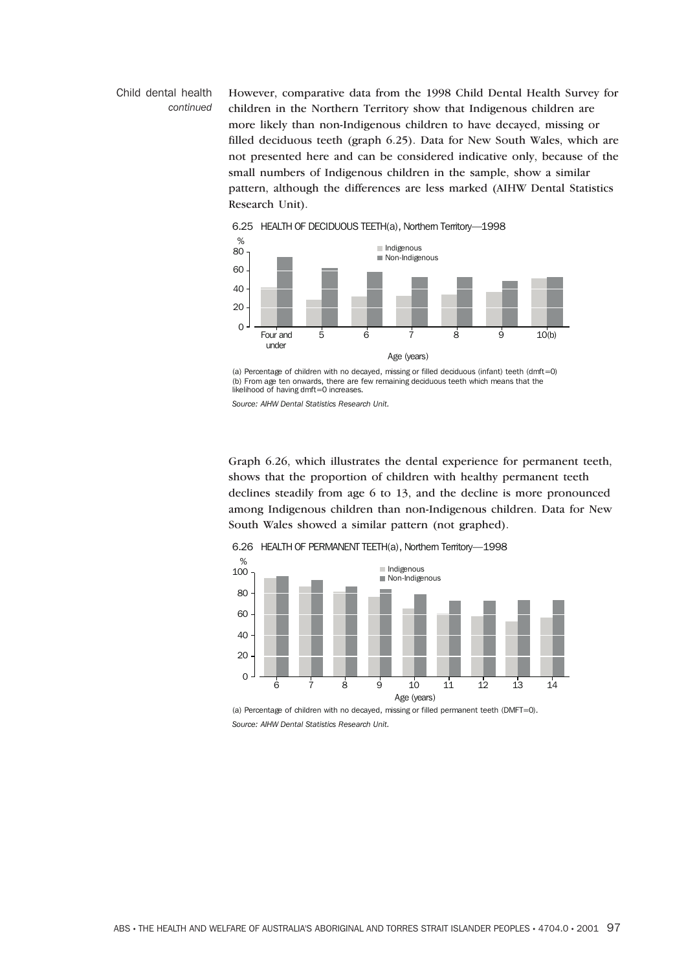## Child dental health *continued*

However, comparative data from the 1998 Child Dental Health Survey for children in the Northern Territory show that Indigenous children are more likely than non-Indigenous children to have decayed, missing or filled deciduous teeth (graph 6.25). Data for New South Wales, which are not presented here and can be considered indicative only, because of the small numbers of Indigenous children in the sample, show a similar pattern, although the differences are less marked (AIHW Dental Statistics Research Unit).



(a) Percentage of children with no decayed, missing or filled deciduous (infant) teeth (dmft=0) (b) From age ten onwards, there are few remaining deciduous teeth which means that the likelihood of having dmft=0 increases.

*Source: AIHW Dental Statistics Research Unit.*

Graph 6.26, which illustrates the dental experience for permanent teeth, shows that the proportion of children with healthy permanent teeth declines steadily from age 6 to 13, and the decline is more pronounced among Indigenous children than non-Indigenous children. Data for New South Wales showed a similar pattern (not graphed).



6.26 HEALTH OF PERMANENT TEETH(a), Northern Territory—1998

(a) Percentage of children with no decayed, missing or filled permanent teeth (DMFT=0). *Source: AIHW Dental Statistics Research Unit.*